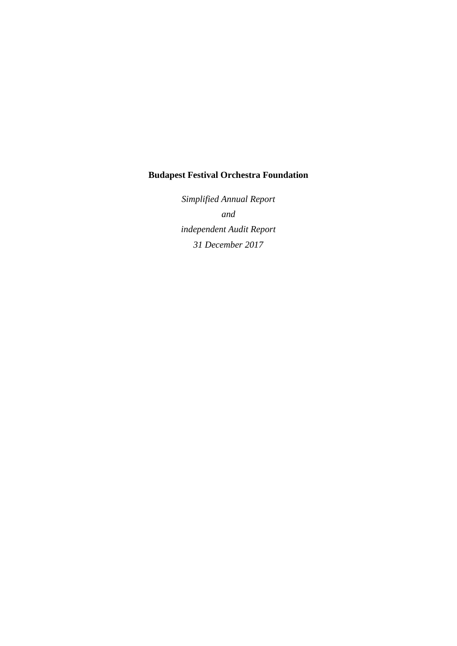# **Budapest Festival Orchestra Foundation**

*Simplified Annual Report and independent Audit Report 31 December 2017*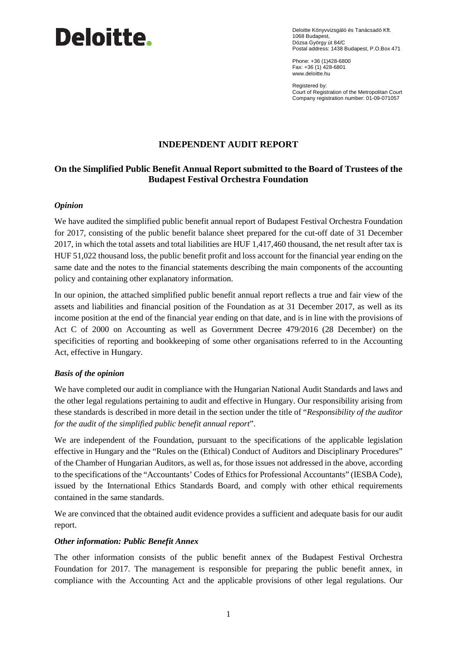# **Deloitte.**

Deloitte Könyvvizsgáló és Tanácsadó Kft. 1068 Budapest, Dózsa György út 84/C Postal address: 1438 Budapest, P.O.Box 471

Phone: +36 (1)428-6800 Fax: +36 (1) 428-6801 [www.deloitte.hu](http://www.deloitte.hu/)

Registered by: Court of Registration of the Metropolitan Court Company registration number: 01-09-071057

### **INDEPENDENT AUDIT REPORT**

#### **On the Simplified Public Benefit Annual Report submitted to the Board of Trustees of the Budapest Festival Orchestra Foundation**

#### *Opinion*

We have audited the simplified public benefit annual report of Budapest Festival Orchestra Foundation for 2017, consisting of the public benefit balance sheet prepared for the cut-off date of 31 December 2017, in which the total assets and total liabilities are HUF 1,417,460 thousand, the net result after tax is HUF 51,022 thousand loss, the public benefit profit and loss account for the financial year ending on the same date and the notes to the financial statements describing the main components of the accounting policy and containing other explanatory information.

In our opinion, the attached simplified public benefit annual report reflects a true and fair view of the assets and liabilities and financial position of the Foundation as at 31 December 2017, as well as its income position at the end of the financial year ending on that date, and is in line with the provisions of Act C of 2000 on Accounting as well as Government Decree 479/2016 (28 December) on the specificities of reporting and bookkeeping of some other organisations referred to in the Accounting Act, effective in Hungary.

#### *Basis of the opinion*

We have completed our audit in compliance with the Hungarian National Audit Standards and laws and the other legal regulations pertaining to audit and effective in Hungary. Our responsibility arising from these standards is described in more detail in the section under the title of "*Responsibility of the auditor for the audit of the simplified public benefit annual report*".

We are independent of the Foundation, pursuant to the specifications of the applicable legislation effective in Hungary and the "Rules on the (Ethical) Conduct of Auditors and Disciplinary Procedures" of the Chamber of Hungarian Auditors, as well as, for those issues not addressed in the above, according to the specifications of the "Accountants' Codes of Ethics for Professional Accountants" (IESBA Code), issued by the International Ethics Standards Board, and comply with other ethical requirements contained in the same standards.

We are convinced that the obtained audit evidence provides a sufficient and adequate basis for our audit report.

#### *Other information: Public Benefit Annex*

The other information consists of the public benefit annex of the Budapest Festival Orchestra Foundation for 2017. The management is responsible for preparing the public benefit annex, in compliance with the Accounting Act and the applicable provisions of other legal regulations. Our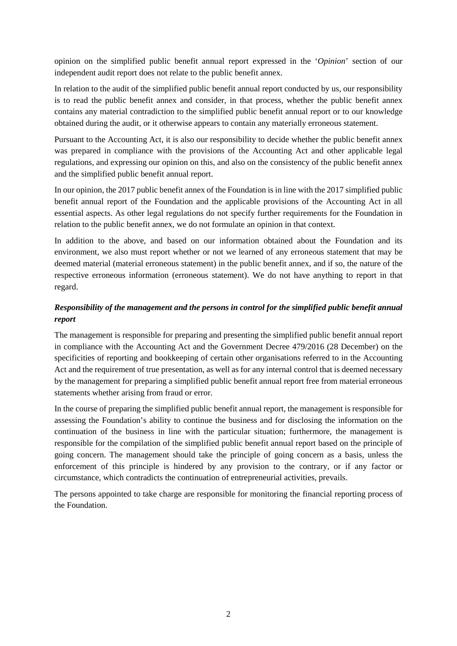opinion on the simplified public benefit annual report expressed in the '*Opinion*' section of our independent audit report does not relate to the public benefit annex.

In relation to the audit of the simplified public benefit annual report conducted by us, our responsibility is to read the public benefit annex and consider, in that process, whether the public benefit annex contains any material contradiction to the simplified public benefit annual report or to our knowledge obtained during the audit, or it otherwise appears to contain any materially erroneous statement.

Pursuant to the Accounting Act, it is also our responsibility to decide whether the public benefit annex was prepared in compliance with the provisions of the Accounting Act and other applicable legal regulations, and expressing our opinion on this, and also on the consistency of the public benefit annex and the simplified public benefit annual report.

In our opinion, the 2017 public benefit annex of the Foundation is in line with the 2017 simplified public benefit annual report of the Foundation and the applicable provisions of the Accounting Act in all essential aspects. As other legal regulations do not specify further requirements for the Foundation in relation to the public benefit annex, we do not formulate an opinion in that context.

In addition to the above, and based on our information obtained about the Foundation and its environment, we also must report whether or not we learned of any erroneous statement that may be deemed material (material erroneous statement) in the public benefit annex, and if so, the nature of the respective erroneous information (erroneous statement). We do not have anything to report in that regard.

# *Responsibility of the management and the persons in control for the simplified public benefit annual report*

The management is responsible for preparing and presenting the simplified public benefit annual report in compliance with the Accounting Act and the Government Decree 479/2016 (28 December) on the specificities of reporting and bookkeeping of certain other organisations referred to in the Accounting Act and the requirement of true presentation, as well as for any internal control that is deemed necessary by the management for preparing a simplified public benefit annual report free from material erroneous statements whether arising from fraud or error.

In the course of preparing the simplified public benefit annual report, the management is responsible for assessing the Foundation's ability to continue the business and for disclosing the information on the continuation of the business in line with the particular situation; furthermore, the management is responsible for the compilation of the simplified public benefit annual report based on the principle of going concern. The management should take the principle of going concern as a basis, unless the enforcement of this principle is hindered by any provision to the contrary, or if any factor or circumstance, which contradicts the continuation of entrepreneurial activities, prevails.

The persons appointed to take charge are responsible for monitoring the financial reporting process of the Foundation.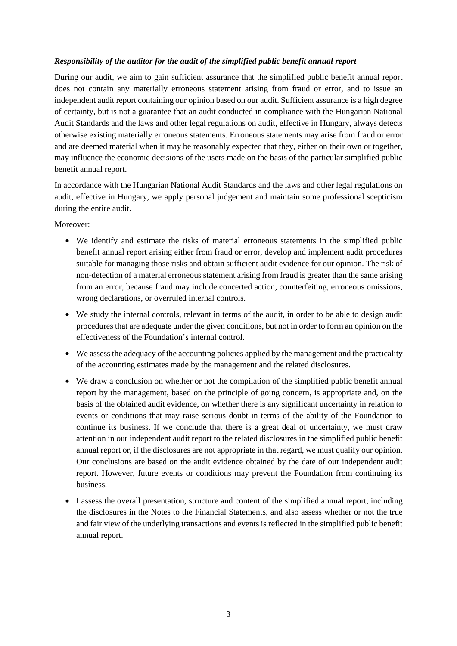#### *Responsibility of the auditor for the audit of the simplified public benefit annual report*

During our audit, we aim to gain sufficient assurance that the simplified public benefit annual report does not contain any materially erroneous statement arising from fraud or error, and to issue an independent audit report containing our opinion based on our audit. Sufficient assurance is a high degree of certainty, but is not a guarantee that an audit conducted in compliance with the Hungarian National Audit Standards and the laws and other legal regulations on audit, effective in Hungary, always detects otherwise existing materially erroneous statements. Erroneous statements may arise from fraud or error and are deemed material when it may be reasonably expected that they, either on their own or together, may influence the economic decisions of the users made on the basis of the particular simplified public benefit annual report.

In accordance with the Hungarian National Audit Standards and the laws and other legal regulations on audit, effective in Hungary, we apply personal judgement and maintain some professional scepticism during the entire audit.

Moreover:

- We identify and estimate the risks of material erroneous statements in the simplified public benefit annual report arising either from fraud or error, develop and implement audit procedures suitable for managing those risks and obtain sufficient audit evidence for our opinion. The risk of non-detection of a material erroneous statement arising from fraud is greater than the same arising from an error, because fraud may include concerted action, counterfeiting, erroneous omissions, wrong declarations, or overruled internal controls.
- We study the internal controls, relevant in terms of the audit, in order to be able to design audit procedures that are adequate under the given conditions, but not in order to form an opinion on the effectiveness of the Foundation's internal control.
- We assess the adequacy of the accounting policies applied by the management and the practicality of the accounting estimates made by the management and the related disclosures.
- We draw a conclusion on whether or not the compilation of the simplified public benefit annual report by the management, based on the principle of going concern, is appropriate and, on the basis of the obtained audit evidence, on whether there is any significant uncertainty in relation to events or conditions that may raise serious doubt in terms of the ability of the Foundation to continue its business. If we conclude that there is a great deal of uncertainty, we must draw attention in our independent audit report to the related disclosures in the simplified public benefit annual report or, if the disclosures are not appropriate in that regard, we must qualify our opinion. Our conclusions are based on the audit evidence obtained by the date of our independent audit report. However, future events or conditions may prevent the Foundation from continuing its business.
- I assess the overall presentation, structure and content of the simplified annual report, including the disclosures in the Notes to the Financial Statements, and also assess whether or not the true and fair view of the underlying transactions and events is reflected in the simplified public benefit annual report.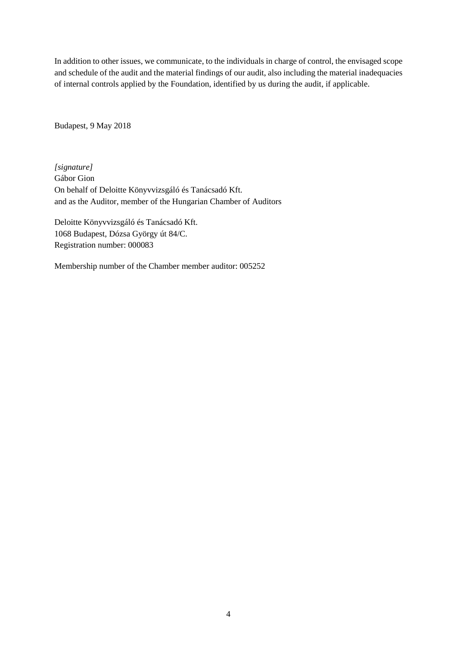In addition to other issues, we communicate, to the individuals in charge of control, the envisaged scope and schedule of the audit and the material findings of our audit, also including the material inadequacies of internal controls applied by the Foundation, identified by us during the audit, if applicable.

Budapest, 9 May 2018

*[signature]* Gábor Gion On behalf of Deloitte Könyvvizsgáló és Tanácsadó Kft. and as the Auditor, member of the Hungarian Chamber of Auditors

Deloitte Könyvvizsgáló és Tanácsadó Kft. 1068 Budapest, Dózsa György út 84/C. Registration number: 000083

Membership number of the Chamber member auditor: 005252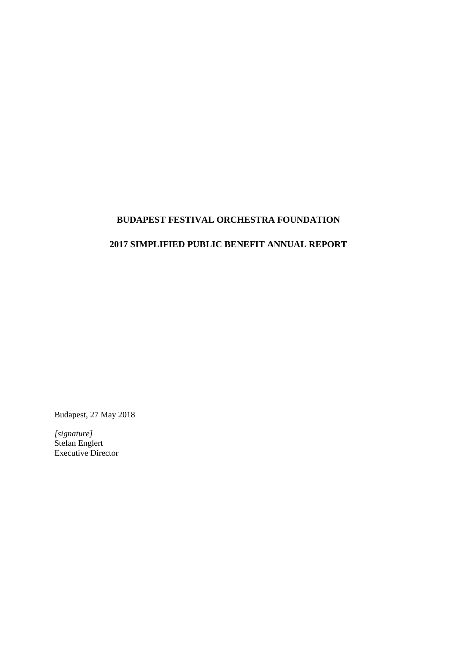# **BUDAPEST FESTIVAL ORCHESTRA FOUNDATION**

### **2017 SIMPLIFIED PUBLIC BENEFIT ANNUAL REPORT**

Budapest, 27 May 2018

*[signature]* Stefan Englert Executive Director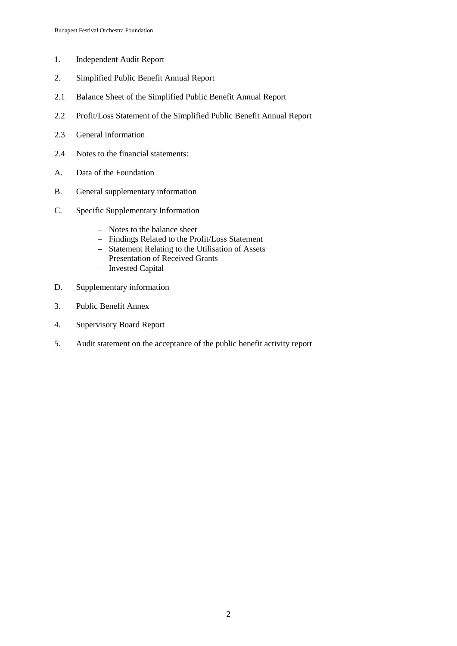- 1. Independent Audit Report
- 2. Simplified Public Benefit Annual Report
- 2.1 Balance Sheet of the Simplified Public Benefit Annual Report
- 2.2 Profit/Loss Statement of the Simplified Public Benefit Annual Report
- 2.3 General information
- 2.4 Notes to the financial statements:
- A. Data of the Foundation
- B. General supplementary information
- C. Specific Supplementary Information
	- Notes to the balance sheet
	- Findings Related to the Profit/Loss Statement
	- Statement Relating to the Utilisation of Assets
	- Presentation of Received Grants
	- Invested Capital
- D. Supplementary information
- 3. Public Benefit Annex
- 4. Supervisory Board Report
- 5. Audit statement on the acceptance of the public benefit activity report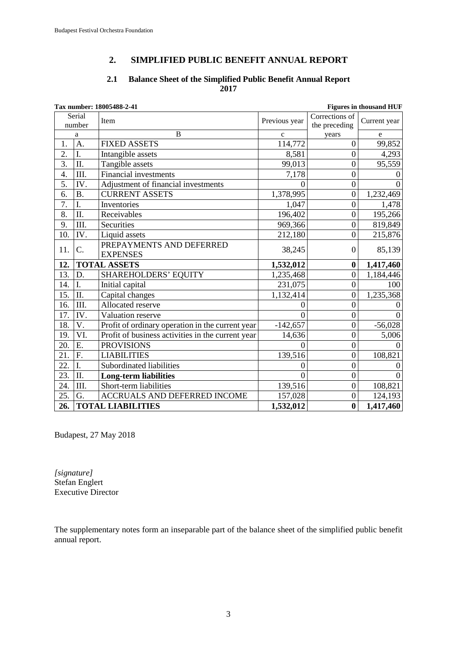# **2. SIMPLIFIED PUBLIC BENEFIT ANNUAL REPORT**

#### **2.1 Balance Sheet of the Simplified Public Benefit Annual Report 2017**

| Tax number: 18005488-2-41<br><b>Figures in thousand HUF</b> |                  |                                                   |               |                                 |              |
|-------------------------------------------------------------|------------------|---------------------------------------------------|---------------|---------------------------------|--------------|
|                                                             | Serial<br>number | Item                                              | Previous year | Corrections of<br>the preceding | Current year |
|                                                             | a                | $\overline{B}$                                    | $\mathbf{C}$  | years                           | e            |
| 1.                                                          | $\overline{A}$ . | <b>FIXED ASSETS</b>                               | 114,772       | $\mathbf{0}$                    | 99,852       |
| $\overline{2}$ .                                            | I.               | Intangible assets                                 | 8,581         | $\boldsymbol{0}$                | 4,293        |
| $\overline{3}$ .                                            | II.              | Tangible assets                                   | 99,013        | $\mathbf{0}$                    | 95,559       |
| 4.                                                          | Ш.               | <b>Financial investments</b>                      | 7,178         | $\overline{0}$                  |              |
| 5.                                                          | IV.              | Adjustment of financial investments               | 0             | $\mathbf{0}$                    | $\Omega$     |
| 6.                                                          | <b>B.</b>        | <b>CURRENT ASSETS</b>                             | 1,378,995     | $\boldsymbol{0}$                | 1,232,469    |
| $\overline{7}$ .                                            | I.               | Inventories                                       | 1,047         | $\overline{0}$                  | 1,478        |
| 8.                                                          | II.              | Receivables                                       | 196,402       | $\overline{0}$                  | 195,266      |
| 9.                                                          | III.             | Securities                                        | 969,366       | $\mathbf{0}$                    | 819,849      |
| 10.                                                         | IV.              | Liquid assets                                     | 212,180       | $\overline{0}$                  | 215,876      |
| 11.                                                         | C.               | PREPAYMENTS AND DEFERRED<br><b>EXPENSES</b>       | 38,245        | $\boldsymbol{0}$                | 85,139       |
| 12.                                                         |                  | <b>TOTAL ASSETS</b>                               | 1,532,012     | $\bf{0}$                        | 1,417,460    |
| 13.                                                         | D.               | <b>SHAREHOLDERS' EQUITY</b>                       | 1,235,468     | $\overline{0}$                  | 1,184,446    |
| 14.                                                         | I.               | Initial capital                                   | 231,075       | $\overline{0}$                  | 100          |
| 15.                                                         | II.              | Capital changes                                   | 1,132,414     | $\overline{0}$                  | 1,235,368    |
| 16.                                                         | III.             | Allocated reserve                                 | 0             | $\mathbf{0}$                    |              |
| 17.                                                         | IV.              | Valuation reserve                                 | $\Omega$      | $\mathbf{0}$                    | $\Omega$     |
| 18.                                                         | V.               | Profit of ordinary operation in the current year  | $-142,657$    | $\overline{0}$                  | $-56,028$    |
| 19.                                                         | VI.              | Profit of business activities in the current year | 14,636        | $\overline{0}$                  | 5,006        |
| 20.                                                         | Ε.               | <b>PROVISIONS</b>                                 | $\theta$      | $\mathbf{0}$                    |              |
| 21.                                                         | F.               | <b>LIABILITIES</b>                                | 139,516       | $\mathbf{0}$                    | 108,821      |
| 22.                                                         | I.               | Subordinated liabilities                          | 0             | $\overline{0}$                  |              |
| 23.                                                         | Π.               | <b>Long-term liabilities</b>                      | 0             | $\boldsymbol{0}$                |              |
| 24.                                                         | III.             | Short-term liabilities                            | 139,516       | $\overline{0}$                  | 108,821      |
| 25.                                                         | G.               | <b>ACCRUALS AND DEFERRED INCOME</b>               | 157,028       | $\boldsymbol{0}$                | 124,193      |
| 26.                                                         |                  | <b>TOTAL LIABILITIES</b>                          | 1,532,012     | $\bf{0}$                        | 1,417,460    |

Budapest, 27 May 2018

*[signature]* Stefan Englert Executive Director

The supplementary notes form an inseparable part of the balance sheet of the simplified public benefit annual report.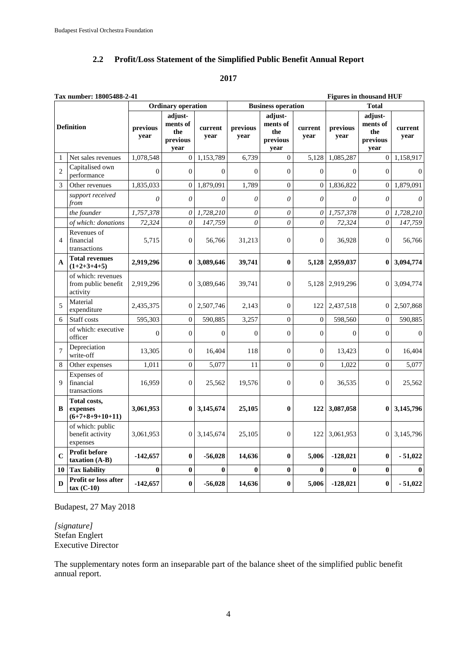# **2.2 Profit/Loss Statement of the Simplified Public Benefit Annual Report**

#### **2017**

|                  | Tax number: 18005488-2-41<br><b>Figures in thousand HUF</b> |                  |                                                |                 |                  |                                                |                 |                  |                                                |                 |
|------------------|-------------------------------------------------------------|------------------|------------------------------------------------|-----------------|------------------|------------------------------------------------|-----------------|------------------|------------------------------------------------|-----------------|
|                  |                                                             |                  | <b>Ordinary operation</b>                      |                 |                  | <b>Business operation</b>                      |                 |                  | <b>Total</b>                                   |                 |
|                  | <b>Definition</b>                                           | previous<br>year | adjust-<br>ments of<br>the<br>previous<br>year | current<br>year | previous<br>year | adjust-<br>ments of<br>the<br>previous<br>year | current<br>year | previous<br>year | adjust-<br>ments of<br>the<br>previous<br>year | current<br>year |
| 1                | Net sales revenues                                          | 1,078,548        | $\overline{0}$                                 | 1,153,789       | 6,739            | $\overline{0}$                                 | 5,128           | 1,085,287        | $\boldsymbol{0}$                               | 1,158,917       |
| $\overline{c}$   | Capitalised own<br>performance                              | $\theta$         | $\overline{0}$                                 | $\theta$        | $\theta$         | $\overline{0}$                                 | $\overline{0}$  | $\Omega$         | $\overline{0}$                                 | $\Omega$        |
| 3                | Other revenues                                              | 1,835,033        | $\theta$                                       | 1,879,091       | 1,789            | $\mathbf{0}$                                   | $\overline{0}$  | 1,836,822        | $\overline{0}$                                 | 1,879,091       |
|                  | support received<br>from                                    | $\theta$         | $\theta$                                       | $\theta$        | $\theta$         | $\theta$                                       | $\theta$        | $\theta$         | $\theta$                                       | $\theta$        |
|                  | the founder                                                 | 1,757,378        | $\theta$                                       | 1,728,210       | $\theta$         | $\theta$                                       | $\theta$        | 1,757,378        | $\theta$                                       | 1,728,210       |
|                  | of which: donations                                         | 72,324           | 0                                              | 147,759         | $\theta$         | 0                                              | 0               | 72,324           | $\theta$                                       | 147,759         |
| $\overline{4}$   | Revenues of<br>financial<br>transactions                    | 5,715            | $\overline{0}$                                 | 56,766          | 31,213           | $\overline{0}$                                 | $\overline{0}$  | 36,928           | $\overline{0}$                                 | 56,766          |
| A                | <b>Total revenues</b><br>$(1+2+3+4+5)$                      | 2,919,296        | $\bf{0}$                                       | 3,089,646       | 39,741           | $\bf{0}$                                       | 5,128           | 2,959,037        | $\bf{0}$                                       | 3,094,774       |
|                  | of which: revenues<br>from public benefit<br>activity       | 2,919,296        | $\boldsymbol{0}$                               | 3,089,646       | 39,741           | $\Omega$                                       | 5,128           | 2,919,296        | 0                                              | 3,094,774       |
| 5                | Material<br>expenditure                                     | 2,435,375        | $\overline{0}$                                 | 2,507,746       | 2,143            | $\overline{0}$                                 | 122             | 2,437,518        | 0                                              | 2,507,868       |
| 6                | Staff costs                                                 | 595,303          | $\overline{0}$                                 | 590,885         | 3,257            | $\overline{0}$                                 | $\overline{0}$  | 598,560          | $\overline{0}$                                 | 590,885         |
|                  | of which: executive<br>officer                              | $\mathbf{0}$     | $\Omega$                                       | $\overline{0}$  | $\overline{0}$   | $\theta$                                       | $\overline{0}$  | $\Omega$         | $\overline{0}$                                 | $\Omega$        |
| $\boldsymbol{7}$ | Depreciation<br>write-off                                   | 13,305           | $\overline{0}$                                 | 16,404          | 118              | $\overline{0}$                                 | $\overline{0}$  | 13,423           | $\overline{0}$                                 | 16,404          |
| 8                | Other expenses                                              | 1.011            | $\theta$                                       | 5.077           | 11               | $\theta$                                       | $\Omega$        | 1.022            | $\theta$                                       | 5.077           |
| 9                | Expenses of<br>financial<br>transactions                    | 16,959           | $\overline{0}$                                 | 25,562          | 19,576           | $\overline{0}$                                 | $\mathbf{0}$    | 36,535           | $\overline{0}$                                 | 25,562          |
| B                | Total costs,<br>expenses<br>$(6+7+8+9+10+11)$               | 3,061,953        | $\mathbf{0}$                                   | 3,145,674       | 25,105           | $\bf{0}$                                       | 122             | 3,087,058        | $\bf{0}$                                       | 3,145,796       |
|                  | of which: public<br>benefit activity<br>expenses            | 3,061,953        | $\overline{0}$                                 | 3,145,674       | 25,105           | $\boldsymbol{0}$                               | 122             | 3,061,953        | $\boldsymbol{0}$                               | 3,145,796       |
| $\mathbf C$      | <b>Profit before</b><br>$taxation(A-B)$                     | $-142,657$       | $\bf{0}$                                       | $-56,028$       | 14,636           | $\bf{0}$                                       | 5,006           | $-128,021$       | $\bf{0}$                                       | $-51,022$       |
| 10               | <b>Tax liability</b>                                        | $\bf{0}$         | $\bf{0}$                                       | 0               | $\bf{0}$         | $\bf{0}$                                       | $\bf{0}$        | $\mathbf{0}$     | $\bf{0}$                                       | $\mathbf{0}$    |
| D                | Profit or loss after<br>$tax (C-10)$                        | $-142,657$       | $\bf{0}$                                       | $-56,028$       | 14,636           | $\bf{0}$                                       | 5,006           | $-128,021$       | $\bf{0}$                                       | $-51,022$       |

#### Budapest, 27 May 2018

*[signature]* Stefan Englert Executive Director

The supplementary notes form an inseparable part of the balance sheet of the simplified public benefit annual report.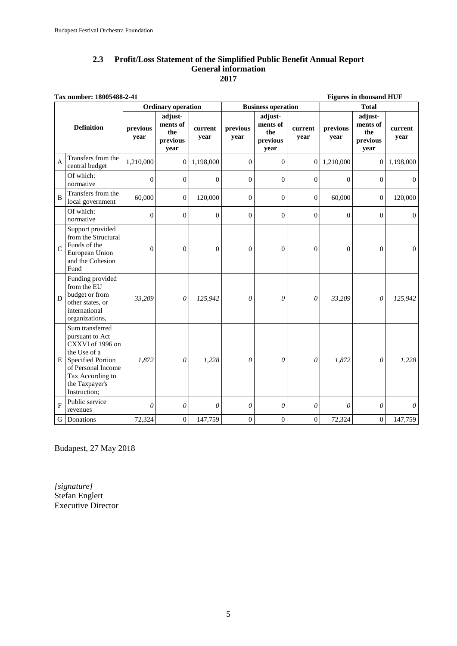#### **2.3 Profit/Loss Statement of the Simplified Public Benefit Annual Report General information 2017**

| Tax number: 18005488-2-41<br><b>Figures in thousand HUF</b> |                                                                                                                                                                                |                  |                                                |                 |                  |                                                |                  |                  |                                                |                       |
|-------------------------------------------------------------|--------------------------------------------------------------------------------------------------------------------------------------------------------------------------------|------------------|------------------------------------------------|-----------------|------------------|------------------------------------------------|------------------|------------------|------------------------------------------------|-----------------------|
| <b>Ordinary operation</b><br><b>Business operation</b>      |                                                                                                                                                                                |                  |                                                |                 |                  |                                                |                  |                  | <b>Total</b>                                   |                       |
|                                                             | <b>Definition</b>                                                                                                                                                              | previous<br>year | adjust-<br>ments of<br>the<br>previous<br>year | current<br>year | previous<br>year | adjust-<br>ments of<br>the<br>previous<br>year | current<br>year  | previous<br>year | adjust-<br>ments of<br>the<br>previous<br>year | current<br>year       |
| $\overline{A}$                                              | Transfers from the<br>central budget                                                                                                                                           | 1,210,000        | $\overline{0}$                                 | 1,198,000       | $\Omega$         | $\Omega$                                       | $\Omega$         | 1,210,000        | $\overline{0}$                                 | 1,198,000             |
|                                                             | Of which:<br>normative                                                                                                                                                         | $\boldsymbol{0}$ | $\mathbf{0}$                                   | $\mathbf{0}$    | $\overline{0}$   | $\overline{0}$                                 | $\mathbf{0}$     | $\mathbf{0}$     | $\overline{0}$                                 | $\overline{0}$        |
| $\overline{B}$                                              | Transfers from the<br>local government                                                                                                                                         | 60,000           | $\mathbf{0}$                                   | 120,000         | $\theta$         | $\Omega$                                       | $\Omega$         | 60,000           | $\overline{0}$                                 | 120,000               |
|                                                             | Of which:<br>normative                                                                                                                                                         | $\boldsymbol{0}$ | $\boldsymbol{0}$                               | $\mathbf{0}$    | $\theta$         | $\overline{0}$                                 | $\mathbf{0}$     | $\mathbf{0}$     | $\overline{0}$                                 | $\overline{0}$        |
| $\mathbf C$                                                 | Support provided<br>from the Structural<br>Funds of the<br>European Union<br>and the Cohesion<br>Fund                                                                          | $\mathbf{0}$     | $\theta$                                       | $\theta$        | $\overline{0}$   | $\overline{0}$                                 | $\theta$         | $\overline{0}$   | $\overline{0}$                                 | $\mathbf{0}$          |
| D                                                           | Funding provided<br>from the EU<br>budget or from<br>other states, or<br>international<br>organizations,                                                                       | 33,209           | $\theta$                                       | 125,942         | $\theta$         | $\theta$                                       | $\theta$         | 33,209           | 0                                              | 125,942               |
| E                                                           | Sum transferred<br>pursuant to Act<br>CXXVI of 1996 on<br>the Use of a<br><b>Specified Portion</b><br>of Personal Income<br>Tax According to<br>the Taxpayer's<br>Instruction; | 1,872            | $\theta$                                       | 1,228           | $\theta$         | $\theta$                                       | $\theta$         | 1,872            | $\theta$                                       | 1,228                 |
| $\overline{F}$                                              | Public service<br>revenues                                                                                                                                                     | $\theta$         | $\theta$                                       | $\theta$        | $\theta$         | $\boldsymbol{\mathit{0}}$                      | $\theta$         | $\theta$         | 0                                              | $\boldsymbol{\theta}$ |
| $\mathbf G$                                                 | Donations                                                                                                                                                                      | 72,324           | $\boldsymbol{0}$                               | 147,759         | $\overline{0}$   | $\boldsymbol{0}$                               | $\boldsymbol{0}$ | 72,324           | $\boldsymbol{0}$                               | 147,759               |

Budapest, 27 May 2018

*[signature]* Stefan Englert Executive Director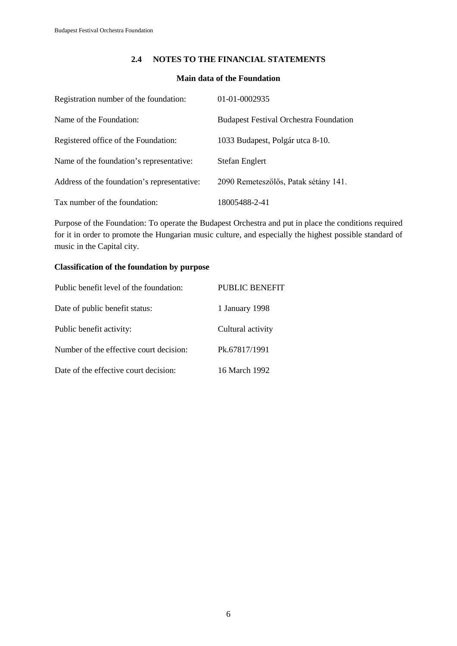#### **2.4 NOTES TO THE FINANCIAL STATEMENTS**

#### **Main data of the Foundation**

| Registration number of the foundation:      | 01-01-0002935                                 |
|---------------------------------------------|-----------------------------------------------|
| Name of the Foundation:                     | <b>Budapest Festival Orchestra Foundation</b> |
| Registered office of the Foundation:        | 1033 Budapest, Polgár utca 8-10.              |
| Name of the foundation's representative:    | Stefan Englert                                |
| Address of the foundation's representative: | 2090 Remeteszőlős, Patak sétány 141.          |
| Tax number of the foundation:               | 18005488-2-41                                 |

Purpose of the Foundation: To operate the Budapest Orchestra and put in place the conditions required for it in order to promote the Hungarian music culture, and especially the highest possible standard of music in the Capital city.

#### **Classification of the foundation by purpose**

| Public benefit level of the foundation: | PUBLIC BENEFIT    |
|-----------------------------------------|-------------------|
| Date of public benefit status:          | 1 January 1998    |
| Public benefit activity:                | Cultural activity |
| Number of the effective court decision: | Pk.67817/1991     |
| Date of the effective court decision:   | 16 March 1992     |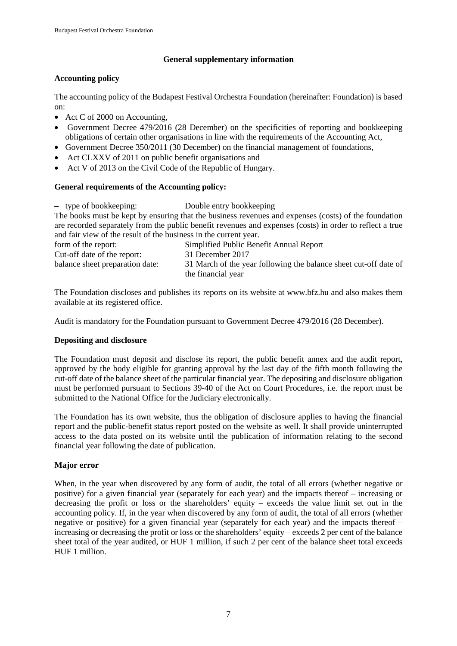#### **General supplementary information**

#### **Accounting policy**

The accounting policy of the Budapest Festival Orchestra Foundation (hereinafter: Foundation) is based on:

- Act C of 2000 on Accounting,
- Government Decree 479/2016 (28 December) on the specificities of reporting and bookkeeping obligations of certain other organisations in line with the requirements of the Accounting Act,
- Government Decree 350/2011 (30 December) on the financial management of foundations,
- Act CLXXV of 2011 on public benefit organisations and
- Act V of 2013 on the Civil Code of the Republic of Hungary.

#### **General requirements of the Accounting policy:**

– type of bookkeeping: Double entry bookkeeping

The books must be kept by ensuring that the business revenues and expenses (costs) of the foundation are recorded separately from the public benefit revenues and expenses (costs) in order to reflect a true and fair view of the result of the business in the current year.

| form of the report:             | Simplified Public Benefit Annual Report                                                |
|---------------------------------|----------------------------------------------------------------------------------------|
| Cut-off date of the report:     | 31 December 2017                                                                       |
| balance sheet preparation date: | 31 March of the year following the balance sheet cut-off date of<br>the financial year |

The Foundation discloses and publishes its reports on its website at [www.bfz.hu](http://www.bfz.hu/) and also makes them available at its registered office.

Audit is mandatory for the Foundation pursuant to Government Decree 479/2016 (28 December).

#### **Depositing and disclosure**

The Foundation must deposit and disclose its report, the public benefit annex and the audit report, approved by the body eligible for granting approval by the last day of the fifth month following the cut-off date of the balance sheet of the particular financial year. The depositing and disclosure obligation must be performed pursuant to Sections 39-40 of the Act on Court Procedures, i.e. the report must be submitted to the National Office for the Judiciary electronically.

The Foundation has its own website, thus the obligation of disclosure applies to having the financial report and the public-benefit status report posted on the website as well. It shall provide uninterrupted access to the data posted on its website until the publication of information relating to the second financial year following the date of publication.

#### **Major error**

When, in the year when discovered by any form of audit, the total of all errors (whether negative or positive) for a given financial year (separately for each year) and the impacts thereof – increasing or decreasing the profit or loss or the shareholders' equity – exceeds the value limit set out in the accounting policy. If, in the year when discovered by any form of audit, the total of all errors (whether negative or positive) for a given financial year (separately for each year) and the impacts thereof – increasing or decreasing the profit or loss or the shareholders' equity – exceeds 2 per cent of the balance sheet total of the year audited, or HUF 1 million, if such 2 per cent of the balance sheet total exceeds HUF 1 million.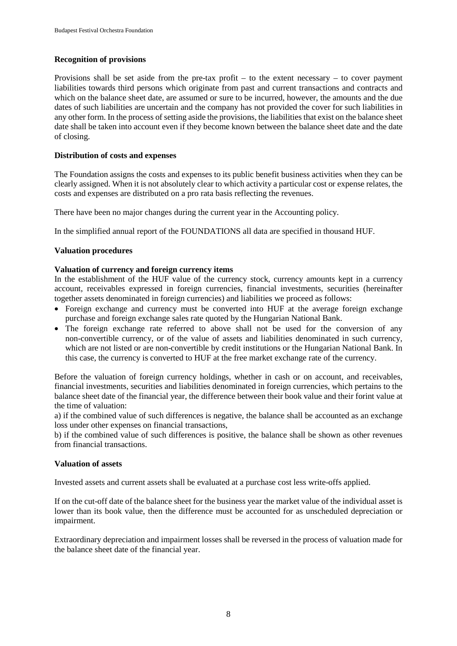#### **Recognition of provisions**

Provisions shall be set aside from the pre-tax profit – to the extent necessary – to cover payment liabilities towards third persons which originate from past and current transactions and contracts and which on the balance sheet date, are assumed or sure to be incurred, however, the amounts and the due dates of such liabilities are uncertain and the company has not provided the cover for such liabilities in any other form. In the process of setting aside the provisions, the liabilities that exist on the balance sheet date shall be taken into account even if they become known between the balance sheet date and the date of closing.

#### **Distribution of costs and expenses**

The Foundation assigns the costs and expenses to its public benefit business activities when they can be clearly assigned. When it is not absolutely clear to which activity a particular cost or expense relates, the costs and expenses are distributed on a pro rata basis reflecting the revenues.

There have been no major changes during the current year in the Accounting policy.

In the simplified annual report of the FOUNDATIONS all data are specified in thousand HUF.

#### **Valuation procedures**

#### **Valuation of currency and foreign currency items**

In the establishment of the HUF value of the currency stock, currency amounts kept in a currency account, receivables expressed in foreign currencies, financial investments, securities (hereinafter together assets denominated in foreign currencies) and liabilities we proceed as follows:

- Foreign exchange and currency must be converted into HUF at the average foreign exchange purchase and foreign exchange sales rate quoted by the Hungarian National Bank.
- The foreign exchange rate referred to above shall not be used for the conversion of any non-convertible currency, or of the value of assets and liabilities denominated in such currency, which are not listed or are non-convertible by credit institutions or the Hungarian National Bank. In this case, the currency is converted to HUF at the free market exchange rate of the currency.

Before the valuation of foreign currency holdings, whether in cash or on account, and receivables, financial investments, securities and liabilities denominated in foreign currencies, which pertains to the balance sheet date of the financial year, the difference between their book value and their forint value at the time of valuation:

a) if the combined value of such differences is negative, the balance shall be accounted as an exchange loss under other expenses on financial transactions,

b) if the combined value of such differences is positive, the balance shall be shown as other revenues from financial transactions.

#### **Valuation of assets**

Invested assets and current assets shall be evaluated at a purchase cost less write-offs applied.

If on the cut-off date of the balance sheet for the business year the market value of the individual asset is lower than its book value, then the difference must be accounted for as unscheduled depreciation or impairment.

Extraordinary depreciation and impairment losses shall be reversed in the process of valuation made for the balance sheet date of the financial year.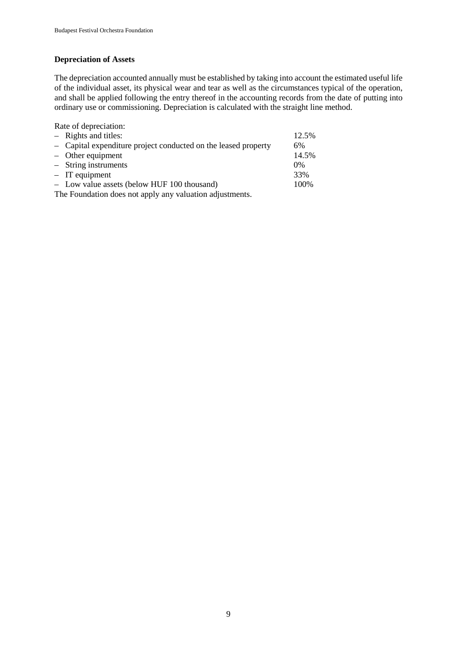#### **Depreciation of Assets**

The depreciation accounted annually must be established by taking into account the estimated useful life of the individual asset, its physical wear and tear as well as the circumstances typical of the operation, and shall be applied following the entry thereof in the accounting records from the date of putting into ordinary use or commissioning. Depreciation is calculated with the straight line method.

Rate of depreciation:

| $-$ Rights and titles:                                         | 12.5% |  |  |  |
|----------------------------------------------------------------|-------|--|--|--|
| - Capital expenditure project conducted on the leased property | 6%    |  |  |  |
| $-$ Other equipment                                            | 14.5% |  |  |  |
| $-$ String instruments                                         | $0\%$ |  |  |  |
| $-$ IT equipment                                               | 33%   |  |  |  |
| - Low value assets (below HUF 100 thousand)                    | 100%  |  |  |  |
| The Foundation does not apply any valuation adjustments.       |       |  |  |  |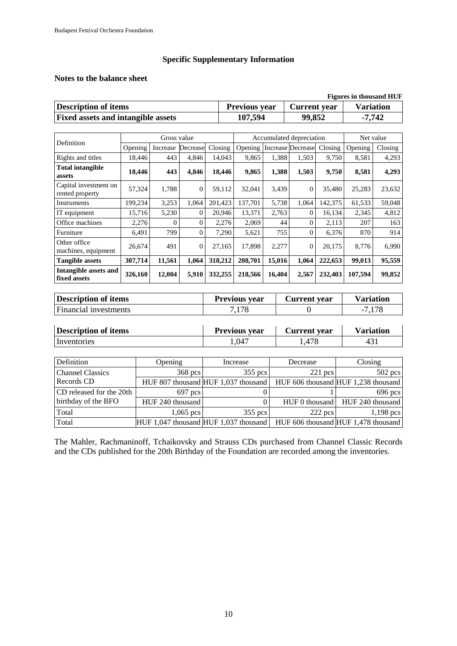#### **Specific Supplementary Information**

#### **Notes to the balance sheet**

| <b>Figures in thousand HUF</b>            |                      |              |                  |  |  |  |  |
|-------------------------------------------|----------------------|--------------|------------------|--|--|--|--|
| <b>Description of items</b>               | <b>Previous year</b> | Current year | <b>Variation</b> |  |  |  |  |
| <b>Fixed assets and intangible assets</b> | 107,594              | 99,852       | -7.742           |  |  |  |  |

|                                          | Gross value |          |                | Accumulated depreciation |         |        |                          | Net value |         |         |
|------------------------------------------|-------------|----------|----------------|--------------------------|---------|--------|--------------------------|-----------|---------|---------|
| Definition                               | Opening     | Increase | Decrease       | Closing                  | Opening |        | <b>Increase Decrease</b> | Closing   | Opening | Closing |
| Rights and titles                        | 18,446      | 443      | 4,846          | 14,043                   | 9,865   | 1,388  | 1,503                    | 9,750     | 8,581   | 4,293   |
| <b>Total intangible</b><br>assets        | 18,446      | 443      | 4,846          | 18,446                   | 9,865   | 1,388  | 1,503                    | 9,750     | 8,581   | 4,293   |
| Capital investment on<br>rented property | 57,324      | 1,788    | $\overline{0}$ | 59,112                   | 32,041  | 3,439  | $\Omega$                 | 35,480    | 25,283  | 23,632  |
| Instruments                              | 199,234     | 3,253    | 1,064          | 201,423                  | 137,701 | 5,738  | 1,064                    | 142,375   | 61,533  | 59,048  |
| IT equipment                             | 15,716      | 5,230    | $\Omega$       | 20,946                   | 13,371  | 2,763  | $\Omega$                 | 16,134    | 2,345   | 4,812   |
| Office machines                          | 2,276       | $\Omega$ | $\Omega$       | 2,276                    | 2,069   | 44     | $\Omega$                 | 2,113     | 207     | 163     |
| Furniture                                | 6,491       | 799      | $\Omega$       | 7,290                    | 5,621   | 755    | $\Omega$                 | 6,376     | 870     | 914     |
| Other office<br>machines, equipment      | 26,674      | 491      | $\Omega$       | 27.165                   | 17,898  | 2,277  | $\Omega$                 | 20,175    | 8,776   | 6,990   |
| <b>Tangible assets</b>                   | 307,714     | 11,561   | 1,064          | 318,212                  | 208,701 | 15,016 | 1,064                    | 222,653   | 99,013  | 95,559  |
| Intangible assets and<br>fixed assets    | 326,160     | 12,004   | 5,910          | 332,255                  | 218,566 | 16,404 | 2,567                    | 232,403   | 107.594 | 99,852  |

| <b>Description of items</b> | <b>Previous vear</b> | Current vear | Variation |
|-----------------------------|----------------------|--------------|-----------|
| Financial investments       | 7.178                |              | $-7,178$  |

| <b>Description of items</b> |                  | <b>Previous year</b>                  | <b>Current</b> year | <b>Variation</b>                    |  |
|-----------------------------|------------------|---------------------------------------|---------------------|-------------------------------------|--|
| Inventories                 |                  | 1,047                                 | 1,478               | 431                                 |  |
|                             |                  |                                       |                     |                                     |  |
| Definition                  | Opening          | Increase                              | Decrease            | Closing                             |  |
| <b>Channel Classics</b>     | 368 pcs          | $355$ pcs                             | $221$ pcs           | $502$ pcs                           |  |
| Records CD                  |                  | HUF 807 thousand HUF 1,037 thousand   |                     | HUF 606 thousand HUF 1,238 thousand |  |
| CD released for the 20th    | 697 pcs          |                                       |                     | 696 pcs                             |  |
| birthday of the BFO         | HUF 240 thousand |                                       | HUF 0 thousand      | HUF 240 thousand                    |  |
| Total                       | $1,065$ pcs      | $355$ pcs                             | $222$ pcs           | $1,198$ pcs                         |  |
| Total                       |                  | HUF 1,047 thousand HUF 1,037 thousand |                     | HUF 606 thousand HUF 1,478 thousand |  |

The Mahler, Rachmaninoff, Tchaikovsky and Strauss CDs purchased from Channel Classic Records and the CDs published for the 20th Birthday of the Foundation are recorded among the inventories.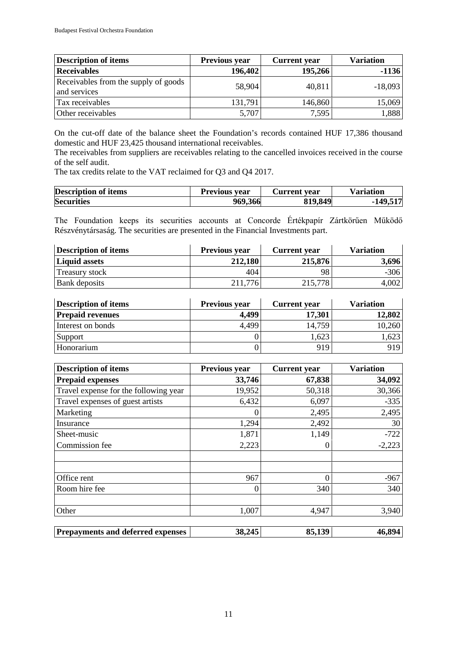| <b>Description of items</b>                          | <b>Previous year</b> | <b>Current</b> year | <b>Variation</b> |
|------------------------------------------------------|----------------------|---------------------|------------------|
| <b>Receivables</b>                                   | 196,402              | 195,266             | $-1136$          |
| Receivables from the supply of goods<br>and services | 58,904               | 40,811              | $-18,093$        |
| Tax receivables                                      | 131,791              | 146,860             | 15,069           |
| Other receivables                                    | 5,707                | 7,595               | 1,888            |

On the cut-off date of the balance sheet the Foundation's records contained HUF 17,386 thousand domestic and HUF 23,425 thousand international receivables.

The receivables from suppliers are receivables relating to the cancelled invoices received in the course of the self audit.

The tax credits relate to the VAT reclaimed for Q3 and Q4 2017.

| <b>Description of items</b> | Previous year | Current vear | Variation  |
|-----------------------------|---------------|--------------|------------|
| <b>Securities</b>           | 969,366       | 819,849      | $-149,517$ |

The Foundation keeps its securities accounts at Concorde Értékpapír Zártkörűen Működő Részvénytársaság. The securities are presented in the Financial Investments part.

| Description of items  | <b>Current</b> year<br><b>Previous year</b> |         | <b>Variation</b> |
|-----------------------|---------------------------------------------|---------|------------------|
| <b>Liquid assets</b>  | 212,180                                     | 215,876 | 3,696            |
| <b>Treasury stock</b> | 404                                         | 98      | $-306$           |
| Bank deposits         | 211,776                                     | 215,778 | 4,002            |

| <b>Description of items</b> | <b>Previous year</b> | <b>Current</b> year | <b>Variation</b> |
|-----------------------------|----------------------|---------------------|------------------|
| <b>Prepaid revenues</b>     | 4,499                | 17,301              | 12,802           |
| Interest on bonds           | 4,499                | 14,759              | 10,260           |
| Support                     |                      | 1,623               | .623             |
| Honorarium                  |                      | 919                 | 919              |

| <b>Description of items</b>              | Previous year | <b>Current</b> year | <b>Variation</b> |
|------------------------------------------|---------------|---------------------|------------------|
| <b>Prepaid expenses</b>                  | 33,746        | 67,838              | 34,092           |
| Travel expense for the following year    | 19,952        | 50,318              | 30,366           |
| Travel expenses of guest artists         | 6,432         | 6,097               | $-335$           |
| Marketing                                |               | 2,495               | 2,495            |
| Insurance                                | 1,294         | 2,492               | 30               |
| Sheet-music                              | 1,871         | 1,149               | $-722$           |
| Commission fee                           | 2,223         | $\theta$            | $-2,223$         |
| Office rent                              | 967           | 0                   | $-967$           |
| Room hire fee                            | 0             | 340                 | 340              |
| Other                                    | 1,007         | 4,947               | 3,940            |
| <b>Prepayments and deferred expenses</b> | 38,245        | 85,139              | 46,894           |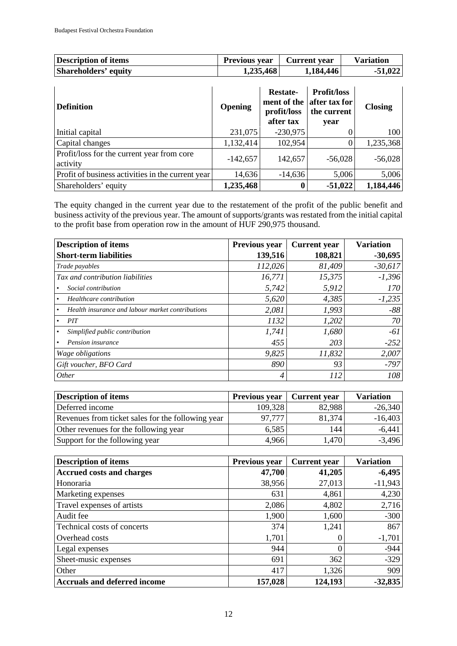| Description of items | <b>Previous year</b> | Current year | <b>Variation</b> |
|----------------------|----------------------|--------------|------------------|
| Shareholders' equity | 1,235,468            | 1,184,446    | $-51,022$        |

| <b>Definition</b>                                      | Opening    | <b>Restate-</b><br>ment of the<br>profit/loss<br>after tax | <b>Profit/loss</b><br>after tax for<br>the current<br>year | <b>Closing</b> |
|--------------------------------------------------------|------------|------------------------------------------------------------|------------------------------------------------------------|----------------|
| Initial capital                                        | 231,075    | $-230,975$                                                 |                                                            | 100            |
| Capital changes                                        | 1,132,414  | 102,954                                                    |                                                            | 1,235,368      |
| Profit/loss for the current year from core<br>activity | $-142,657$ | 142,657                                                    | $-56,028$                                                  | $-56,028$      |
| Profit of business activities in the current year      | 14,636     | $-14,636$                                                  | 5,006                                                      | 5,006          |
| Shareholders' equity                                   | 1,235,468  |                                                            | $-51,022$                                                  | 1,184,446      |

The equity changed in the current year due to the restatement of the profit of the public benefit and business activity of the previous year. The amount of supports/grants was restated from the initial capital to the profit base from operation row in the amount of HUF 290,975 thousand.

| <b>Description of items</b>                      | Previous year | <b>Current</b> year | <b>Variation</b> |
|--------------------------------------------------|---------------|---------------------|------------------|
| <b>Short-term liabilities</b>                    | 139,516       | 108,821             | $-30,695$        |
| Trade payables                                   | 112,026       | 81,409              | $-30,617$        |
| Tax and contribution liabilities                 | 16,771        | 15,375              | $-1,396$         |
| Social contribution                              | 5,742         | 5,912               | <i>170</i>       |
| Healthcare contribution                          | 5,620         | 4,385               | $-1,235$         |
| Health insurance and labour market contributions | 2,081         | 1,993               | $-88$            |
| PIT                                              | 1132          | 1,202               | 70               |
| Simplified public contribution                   | 1,741         | 1,680               | -61              |
| Pension insurance                                | 455           | 203                 | $-252$           |
| Wage obligations                                 | 9,825         | 11,832              | 2,007            |
| Gift voucher, BFO Card                           | 890           | 93                  | $-797$           |
| <i>Other</i>                                     | 4             | 112                 | 108              |

| <b>Description of items</b>                       | <b>Previous year</b> | <b>Current year</b> | <b>Variation</b> |
|---------------------------------------------------|----------------------|---------------------|------------------|
| Deferred income                                   | 109,328              | 82,988              | $-26,340$        |
| Revenues from ticket sales for the following year | 97,777               | 81,374              | $-16,403$        |
| Other revenues for the following year             | 6,585                | 144                 | $-6,441$         |
| Support for the following year                    | 4,966                | 1,470               | $-3,496$         |

| <b>Description of items</b>         | Previous year | <b>Current</b> year | <b>Variation</b> |
|-------------------------------------|---------------|---------------------|------------------|
| <b>Accrued costs and charges</b>    | 47,700        | 41,205              | $-6,495$         |
| Honoraria                           | 38,956        | 27,013              | $-11,943$        |
| Marketing expenses                  | 631           | 4,861               | 4,230            |
| Travel expenses of artists          | 2,086         | 4,802               | 2,716            |
| Audit fee                           | 1,900         | 1,600               | $-300$           |
| Technical costs of concerts         | 374           | 1,241               | 867              |
| Overhead costs                      | 1,701         |                     | $-1,701$         |
| Legal expenses                      | 944           |                     | $-944$           |
| Sheet-music expenses                | 691           | 362                 | $-329$           |
| Other                               | 417           | 1,326               | 909              |
| <b>Accruals and deferred income</b> | 157,028       | 124,193             | $-32,835$        |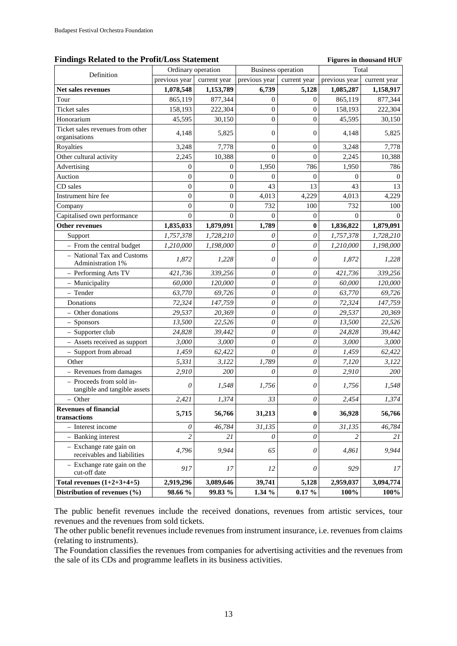#### Findings Related to the Profit/Loss Statement **Figures** in thousand HUF

| Definition                                               |                | Ordinary operation | <b>Business operation</b> |                           | Total         |              |
|----------------------------------------------------------|----------------|--------------------|---------------------------|---------------------------|---------------|--------------|
|                                                          | previous year  | current year       | previous year             | current year              | previous year | current year |
| Net sales revenues                                       | 1,078,548      | 1,153,789          | 6,739                     | 5,128                     | 1,085,287     | 1,158,917    |
| Tour                                                     | 865,119        | 877,344            | $\mathbf{0}$              | 0                         | 865,119       | 877,344      |
| <b>Ticket</b> sales                                      | 158,193        | 222,304            | $\boldsymbol{0}$          | 0                         | 158,193       | 222,304      |
| Honorarium                                               | 45,595         | 30,150             | $\mathbf{0}$              | $\overline{0}$            | 45,595        | 30,150       |
| Ticket sales revenues from other<br>organisations        | 4,148          | 5,825              | $\overline{0}$            | $\theta$                  | 4,148         | 5,825        |
| Royalties                                                | 3,248          | 7,778              | $\mathbf{0}$              | $\theta$                  | 3,248         | 7,778        |
| Other cultural activity                                  | 2,245          | 10,388             | $\Omega$                  | $\Omega$                  | 2,245         | 10,388       |
| Advertising                                              | $\overline{0}$ | $\mathbf{0}$       | 1,950                     | 786                       | 1,950         | 786          |
| Auction                                                  | $\overline{0}$ | $\boldsymbol{0}$   | $\Omega$                  | $\Omega$                  | $\theta$      | $\Omega$     |
| CD sales                                                 | $\overline{0}$ | $\overline{0}$     | 43                        | 13                        | 43            | 13           |
| Instrument hire fee                                      | $\overline{0}$ | $\boldsymbol{0}$   | 4,013                     | 4,229                     | 4,013         | 4,229        |
| Company                                                  | 0              | $\boldsymbol{0}$   | 732                       | 100                       | 732           | 100          |
| Capitalised own performance                              | $\theta$       | $\Omega$           | $\Omega$                  | $\overline{0}$            | $\Omega$      | $\Omega$     |
| <b>Other revenues</b>                                    | 1,835,033      | 1,879,091          | 1,789                     | $\bf{0}$                  | 1,836,822     | 1,879,091    |
| Support                                                  | 1,757,378      | 1,728,210          | 0                         | $\boldsymbol{\mathit{0}}$ | 1,757,378     | 1,728,210    |
| - From the central budget                                | 1,210,000      | 1,198,000          | 0                         | 0                         | 1,210,000     | 1,198,000    |
| - National Tax and Customs<br>Administration 1%          | 1,872          | 1,228              | 0                         | $\boldsymbol{\mathit{0}}$ | 1,872         | 1,228        |
| - Performing Arts TV                                     | 421,736        | 339,256            | 0                         | 0                         | 421,736       | 339,256      |
| - Municipality                                           | 60,000         | 120,000            | 0                         | 0                         | 60,000        | 120,000      |
| - Tender                                                 | 63,770         | 69,726             | 0                         | 0                         | 63,770        | 69,726       |
| Donations                                                | 72,324         | 147,759            | 0                         | 0                         | 72,324        | 147,759      |
| - Other donations                                        | 29,537         | 20,369             | 0                         | 0                         | 29,537        | 20,369       |
| $-$ Sponsors                                             | 13,500         | 22,526             | 0                         | 0                         | 13,500        | 22,526       |
| - Supporter club                                         | 24,828         | 39,442             | $\theta$                  | $\theta$                  | 24,828        | 39,442       |
| - Assets received as support                             | 3,000          | 3,000              | 0                         | 0                         | 3,000         | 3,000        |
| - Support from abroad                                    | 1,459          | 62,422             | $\theta$                  | 0                         | 1,459         | 62,422       |
| Other                                                    | 5,331          | 3,122              | 1,789                     | 0                         | 7,120         | 3,122        |
| - Revenues from damages                                  | 2,910          | 200                | $\boldsymbol{\mathit{0}}$ | $\theta$                  | 2,910         | 200          |
| - Proceeds from sold in-<br>tangible and tangible assets | 0              | 1,548              | 1,756                     | 0                         | 1,756         | 1,548        |
| - Other                                                  | 2,421          | 1,374              | 33                        | 0                         | 2,454         | 1,374        |
| <b>Revenues of financial</b><br>transactions             | 5,715          | 56,766             | 31,213                    | $\bf{0}$                  | 36,928        | 56,766       |
| - Interest income                                        | 0              | 46,784             | 31,135                    | 0                         | 31,135        | 46,784       |
| - Banking interest                                       | $\overline{c}$ | 21                 | 0                         | $\theta$                  | 2             | 21           |
| - Exchange rate gain on<br>receivables and liabilities   | 4,796          | 9,944              | 65                        | $\theta$                  | 4,861         | 9,944        |
| - Exchange rate gain on the<br>cut-off date              | 917            | 17                 | 12                        | $\theta$                  | 929           | 17           |
| Total revenues $(1+2+3+4+5)$                             | 2,919,296      | 3,089,646          | 39,741                    | 5,128                     | 2,959,037     | 3,094,774    |
| Distribution of revenues (%)                             | 98.66 %        | 99.83 %            | $1.34\%$                  | $0.17 \%$                 | 100%          | 100%         |

The public benefit revenues include the received donations, revenues from artistic services, tour revenues and the revenues from sold tickets.

The other public benefit revenues include revenues from instrument insurance, i.e. revenues from claims (relating to instruments).

The Foundation classifies the revenues from companies for advertising activities and the revenues from the sale of its CDs and programme leaflets in its business activities.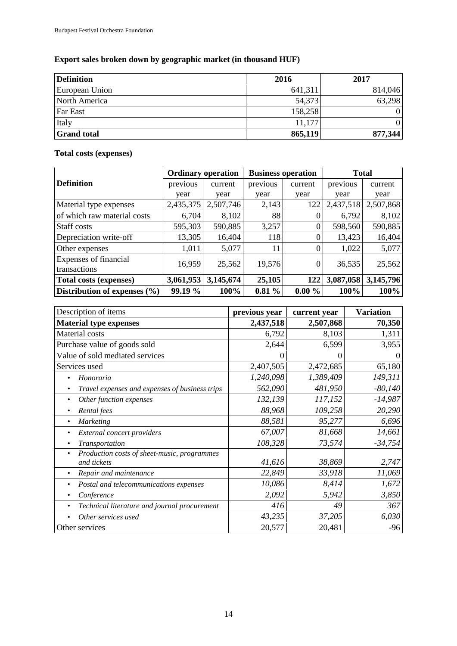# **Export sales broken down by geographic market (in thousand HUF)**

| <b>Definition</b>  | 2016    | 2017    |
|--------------------|---------|---------|
| European Union     | 641,311 | 814,046 |
| North America      | 54,373  | 63,298  |
| <b>Far East</b>    | 158,258 |         |
| Italy              | 11,177  |         |
| <b>Grand total</b> | 865,119 | 877,344 |

# **Total costs (expenses)**

|                                       | <b>Ordinary operation</b> |           | <b>Business operation</b> |                | <b>Total</b> |           |
|---------------------------------------|---------------------------|-----------|---------------------------|----------------|--------------|-----------|
| <b>Definition</b>                     | previous                  | current   | previous                  | current        | previous     | current   |
|                                       | year                      | year      | year                      | year           | year         | year      |
| Material type expenses                | 2,435,375                 | 2,507,746 | 2,143                     | 122            | 2,437,518    | 2,507,868 |
| of which raw material costs           | 6,704                     | 8,102     | 88                        | $\theta$       | 6,792        | 8,102     |
| Staff costs                           | 595,303                   | 590,885   | 3,257                     | $\overline{0}$ | 598,560      | 590,885   |
| Depreciation write-off                | 13,305                    | 16,404    | 118                       | $\Omega$       | 13,423       | 16,404    |
| Other expenses                        | 1,011                     | 5,077     | 11                        | $\Omega$       | 1,022        | 5,077     |
| Expenses of financial<br>transactions | 16,959                    | 25,562    | 19,576                    | $\theta$       | 36,535       | 25,562    |
| <b>Total costs (expenses)</b>         | 3,061,953                 | 3,145,674 | 25,105                    | 122            | 3,087,058    | 3,145,796 |
| Distribution of expenses $(\% )$      | 99.19 %                   | 100%      | $0.81\%$                  | $0.00 \%$      | 100%         | 100%      |

| Description of items                                            | previous year | current year | <b>Variation</b> |
|-----------------------------------------------------------------|---------------|--------------|------------------|
| <b>Material type expenses</b>                                   | 2,437,518     | 2,507,868    | 70,350           |
| Material costs                                                  | 6,792         | 8,103        | 1,311            |
| Purchase value of goods sold                                    | 2,644         | 6,599        | 3,955            |
| Value of sold mediated services                                 |               | 0            | $\Omega$         |
| Services used                                                   | 2,407,505     | 2,472,685    | 65,180           |
| Honoraria                                                       | 1,240,098     | 1,389,409    | 149,311          |
| Travel expenses and expenses of business trips<br>٠             | 562,090       | 481,950      | $-80,140$        |
| Other function expenses<br>٠                                    | 132,139       | 117,152      | $-14,987$        |
| Rental fees<br>$\bullet$                                        | 88,968        | 109,258      | 20,290           |
| <b>Marketing</b><br>٠                                           | 88,581        | 95,277       | 6,696            |
| External concert providers                                      | 67,007        | 81,668       | 14,661           |
| Transportation                                                  | 108,328       | 73,574       | $-34,754$        |
| Production costs of sheet-music, programmes<br>٠<br>and tickets | 41,616        | 38,869       | 2,747            |
| Repair and maintenance                                          | 22,849        | 33,918       | 11,069           |
| Postal and telecommunications expenses                          | 10,086        | 8,414        | 1,672            |
| Conference<br>٠                                                 | 2,092         | 5,942        | 3,850            |
| Technical literature and journal procurement<br>$\bullet$       | 416           | 49           | 367              |
| Other services used                                             | 43,235        | 37,205       | 6,030            |
| Other services                                                  | 20,577        | 20,481       | $-96$            |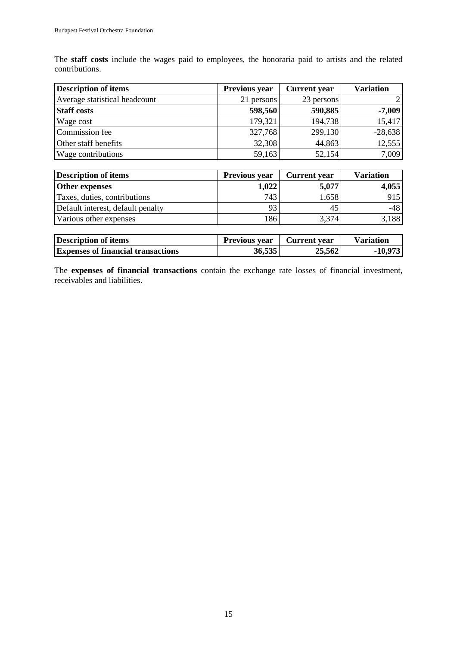The **staff costs** include the wages paid to employees, the honoraria paid to artists and the related contributions.

| <b>Description of items</b>   | Previous year | <b>Current</b> year | <b>Variation</b> |
|-------------------------------|---------------|---------------------|------------------|
| Average statistical headcount | 21 persons    | 23 persons          | $\overline{2}$ l |
| <b>Staff costs</b>            | 598,560       | 590,885             | $-7,009$         |
| Wage cost                     | 179,321       | 194,738             | 15,417           |
| Commission fee                | 327,768       | 299,130             | $-28,638$        |
| Other staff benefits          | 32,308        | 44,863              | 12,555           |
| Wage contributions            | 59,163        | 52,154              | 7,009            |

| <b>Description of items</b>       | <b>Previous year</b> | <b>Current</b> year | <b>Variation</b> |
|-----------------------------------|----------------------|---------------------|------------------|
| <b>Other expenses</b>             | 1,022                | 5,077               | 4,055            |
| Taxes, duties, contributions      | 743                  | 1,658               | 915              |
| Default interest, default penalty |                      | 45                  | -48              |
| Various other expenses            | 186                  | 3,374               | 3,188            |

| Description of items                      | <b>Previous year</b> | Current year | Variation |
|-------------------------------------------|----------------------|--------------|-----------|
| <b>Expenses of financial transactions</b> | 36,535               | 25,562       | $-10,973$ |

The **expenses of financial transactions** contain the exchange rate losses of financial investment, receivables and liabilities.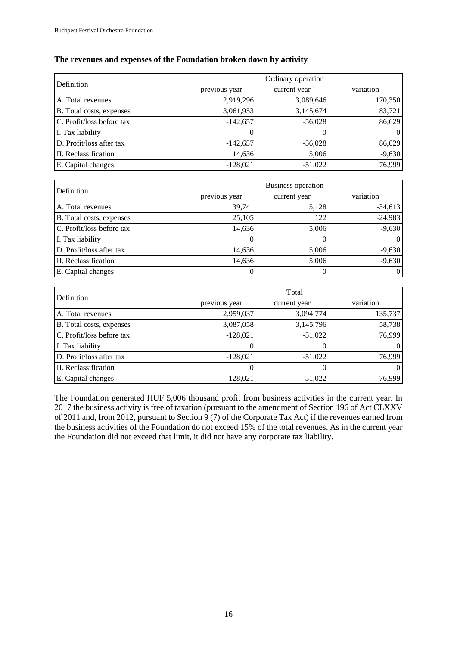#### **The revenues and expenses of the Foundation broken down by activity**

| Definition                | Ordinary operation |              |           |  |
|---------------------------|--------------------|--------------|-----------|--|
|                           | previous year      | current year | variation |  |
| A. Total revenues         | 2,919,296          | 3,089,646    | 170,350   |  |
| B. Total costs, expenses  | 3,061,953          | 3,145,674    | 83,721    |  |
| C. Profit/loss before tax | $-142,657$         | $-56,028$    | 86,629    |  |
| I. Tax liability          |                    |              | $\Omega$  |  |
| D. Profit/loss after tax  | $-142,657$         | $-56,028$    | 86,629    |  |
| II. Reclassification      | 14,636             | 5,006        | $-9,630$  |  |
| E. Capital changes        | $-128,021$         | $-51,022$    | 76,999    |  |

| Definition                | <b>Business operation</b> |              |           |  |
|---------------------------|---------------------------|--------------|-----------|--|
|                           | previous year             | current year | variation |  |
| A. Total revenues         | 39,741                    | 5,128        | $-34,613$ |  |
| B. Total costs, expenses  | 25,105                    | 122          | $-24,983$ |  |
| C. Profit/loss before tax | 14,636                    | 5,006        | $-9,630$  |  |
| I. Tax liability          | $\Omega$                  |              | $\Omega$  |  |
| D. Profit/loss after tax  | 14,636                    | 5,006        | $-9,630$  |  |
| II. Reclassification      | 14,636                    | 5,006        | $-9,630$  |  |
| E. Capital changes        | $\theta$                  |              | $\Omega$  |  |

| Definition                | Total         |              |                |  |
|---------------------------|---------------|--------------|----------------|--|
|                           | previous year | current year | variation      |  |
| A. Total revenues         | 2,959,037     | 3,094,774    | 135,737        |  |
| B. Total costs, expenses  | 3,087,058     | 3,145,796    | 58,738         |  |
| C. Profit/loss before tax | $-128,021$    | $-51,022$    | 76,999         |  |
| I. Tax liability          |               |              | $\overline{0}$ |  |
| D. Profit/loss after tax  | $-128,021$    | $-51,022$    | 76,999         |  |
| II. Reclassification      |               |              | $\Omega$       |  |
| E. Capital changes        | $-128,021$    | $-51,022$    | 76,999         |  |

The Foundation generated HUF 5,006 thousand profit from business activities in the current year. In 2017 the business activity is free of taxation (pursuant to the amendment of Section 196 of Act CLXXV of 2011 and, from 2012, pursuant to Section  $\vec{9}$  (7) of the Corporate Tax Act) if the revenues earned from the business activities of the Foundation do not exceed 15% of the total revenues. As in the current year the Foundation did not exceed that limit, it did not have any corporate tax liability.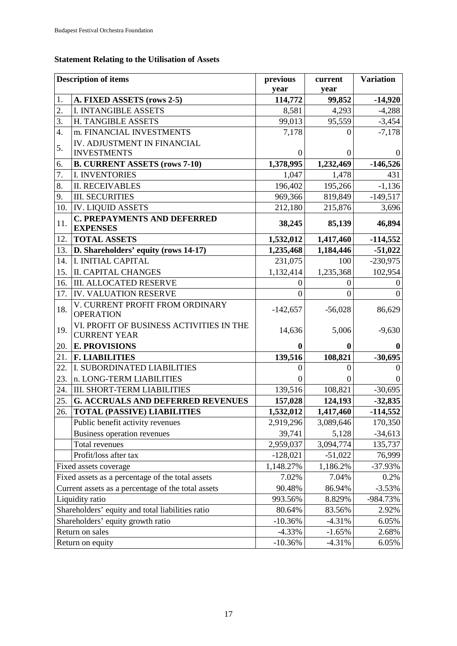# **Statement Relating to the Utilisation of Assets**

|     | <b>Description of items</b>                                     | previous        | current        | <b>Variation</b> |
|-----|-----------------------------------------------------------------|-----------------|----------------|------------------|
| 1.  | A. FIXED ASSETS (rows 2-5)                                      | year<br>114,772 | year<br>99,852 | $-14,920$        |
| 2.  | <b>I. INTANGIBLE ASSETS</b>                                     | 8,581           | 4,293          | $-4,288$         |
| 3.  | H. TANGIBLE ASSETS                                              | 99,013          | 95,559         | $-3,454$         |
| 4.  | m. FINANCIAL INVESTMENTS                                        | 7,178           | 0              | $-7,178$         |
|     | IV. ADJUSTMENT IN FINANCIAL                                     |                 |                |                  |
| 5.  | <b>INVESTMENTS</b>                                              | $\Omega$        | $^{(1)}$       | $\theta$         |
| 6.  | <b>B. CURRENT ASSETS (rows 7-10)</b>                            | 1,378,995       | 1,232,469      | $-146,526$       |
| 7.  | <b>I. INVENTORIES</b>                                           | 1,047           | 1,478          | 431              |
| 8.  | <b>II. RECEIVABLES</b>                                          | 196,402         | 195,266        | $-1,136$         |
| 9.  | <b>III. SECURITIES</b>                                          | 969,366         | 819,849        | $-149,517$       |
| 10. | <b>IV. LIQUID ASSETS</b>                                        | 212,180         | 215,876        | 3,696            |
| 11. | <b>C. PREPAYMENTS AND DEFERRED</b><br><b>EXPENSES</b>           | 38,245          | 85,139         | 46,894           |
| 12. | <b>TOTAL ASSETS</b>                                             | 1,532,012       | 1,417,460      | $-114,552$       |
| 13. | D. Shareholders' equity (rows 14-17)                            | 1,235,468       | 1,184,446      | $-51,022$        |
| 14. | I. INITIAL CAPITAL                                              | 231,075         | 100            | $-230,975$       |
| 15. | <b>II. CAPITAL CHANGES</b>                                      | 1,132,414       | 1,235,368      | 102,954          |
| 16. | <b>III. ALLOCATED RESERVE</b>                                   | $^{(1)}$        | 0              | $\overline{0}$   |
| 17. | <b>IV. VALUATION RESERVE</b>                                    | $\Omega$        | $\theta$       | $\Omega$         |
| 18. | V. CURRENT PROFIT FROM ORDINARY<br><b>OPERATION</b>             | $-142,657$      | $-56,028$      | 86,629           |
| 19. | VI. PROFIT OF BUSINESS ACTIVITIES IN THE<br><b>CURRENT YEAR</b> | 14,636          | 5,006          | $-9,630$         |
| 20. | <b>E. PROVISIONS</b>                                            | $\mathbf{0}$    | 0              | $\mathbf{0}$     |
| 21. | <b>F. LIABILITIES</b>                                           | 139,516         | 108,821        | $-30,695$        |
| 22. | I. SUBORDINATED LIABILITIES                                     | $\theta$        | 0              | $\overline{0}$   |
| 23. | n. LONG-TERM LIABILITIES                                        | $\theta$        | 0              | $\overline{0}$   |
| 24. | <b>III. SHORT-TERM LIABILITIES</b>                              | 139,516         | 108,821        | $-30,695$        |
| 25. | <b>G. ACCRUALS AND DEFERRED REVENUES</b>                        | 157,028         | 124,193        | $-32,835$        |
| 26. | <b>TOTAL (PASSIVE) LIABILITIES</b>                              | 1,532,012       | 1,417,460      | $-114,552$       |
|     | Public benefit activity revenues                                | 2,919,296       | 3,089,646      | 170,350          |
|     | Business operation revenues                                     | 39,741          | 5,128          | $-34,613$        |
|     | Total revenues                                                  | 2,959,037       | 3,094,774      | 135,737          |
|     | Profit/loss after tax                                           | $-128,021$      | $-51,022$      | 76,999           |
|     | Fixed assets coverage                                           | 1,148.27%       | 1,186.2%       | $-37.93%$        |
|     | Fixed assets as a percentage of the total assets                | 7.02%           | 7.04%          | 0.2%             |
|     | Current assets as a percentage of the total assets              | 90.48%          | 86.94%         | $-3.53%$         |
|     | Liquidity ratio                                                 | 993.56%         | 8.829%         | -984.73%         |
|     | Shareholders' equity and total liabilities ratio                | 80.64%          | 83.56%         | 2.92%            |
|     | Shareholders' equity growth ratio                               | $-10.36%$       | $-4.31%$       | 6.05%            |
|     | Return on sales                                                 | $-4.33%$        | $-1.65%$       | 2.68%            |
|     | Return on equity                                                | $-10.36%$       | $-4.31%$       | 6.05%            |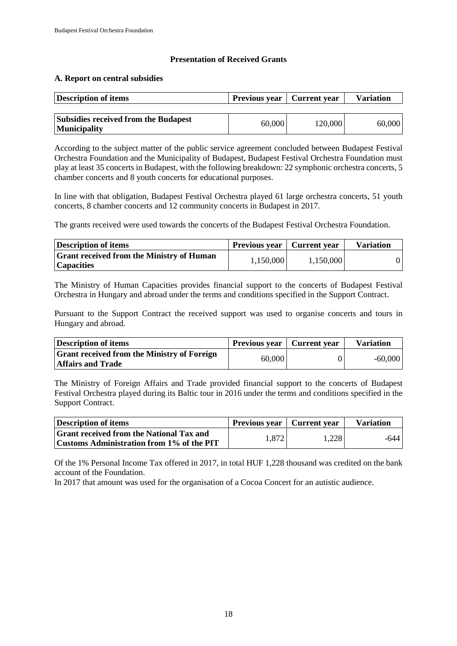#### **Presentation of Received Grants**

#### **A. Report on central subsidies**

| <b>Description of items</b>                 | <b>Previous year</b>   Current year |         | <b>Variation</b> |
|---------------------------------------------|-------------------------------------|---------|------------------|
| <b>Subsidies received from the Budapest</b> | 60,000                              | 120,000 | 60,000           |
| <b>Municipality</b>                         |                                     |         |                  |

According to the subject matter of the public service agreement concluded between Budapest Festival Orchestra Foundation and the Municipality of Budapest, Budapest Festival Orchestra Foundation must play at least 35 concerts in Budapest, with the following breakdown: 22 symphonic orchestra concerts, 5 chamber concerts and 8 youth concerts for educational purposes.

In line with that obligation, Budapest Festival Orchestra played 61 large orchestra concerts, 51 youth concerts, 8 chamber concerts and 12 community concerts in Budapest in 2017.

The grants received were used towards the concerts of the Budapest Festival Orchestra Foundation.

| Description of items                                                   | Previous year   Current year |           | <b>Variation</b> |
|------------------------------------------------------------------------|------------------------------|-----------|------------------|
| <b>Strant received from the Ministry of Human</b><br><i>Capacities</i> | 1,150,000                    | 1,150,000 |                  |

The Ministry of Human Capacities provides financial support to the concerts of Budapest Festival Orchestra in Hungary and abroad under the terms and conditions specified in the Support Contract.

Pursuant to the Support Contract the received support was used to organise concerts and tours in Hungary and abroad.

| Description of items                                | <b>Previous year</b> | Current year | <b>Variation</b> |
|-----------------------------------------------------|----------------------|--------------|------------------|
| <b>Strant received from the Ministry of Foreign</b> | 60,000               |              | $-60,000$        |
| <b>Affairs and Trade</b>                            |                      |              |                  |

The Ministry of Foreign Affairs and Trade provided financial support to the concerts of Budapest Festival Orchestra played during its Baltic tour in 2016 under the terms and conditions specified in the Support Contract.

| Description of items                            | Previous year   Current year |       | <b>Variation</b> |
|-------------------------------------------------|------------------------------|-------|------------------|
| <b>Grant received from the National Tax and</b> | 1,872                        | 1,228 | -644             |
| Customs Administration from 1% of the PIT       |                              |       |                  |

Of the 1% Personal Income Tax offered in 2017, in total HUF 1,228 thousand was credited on the bank account of the Foundation.

In 2017 that amount was used for the organisation of a Cocoa Concert for an autistic audience.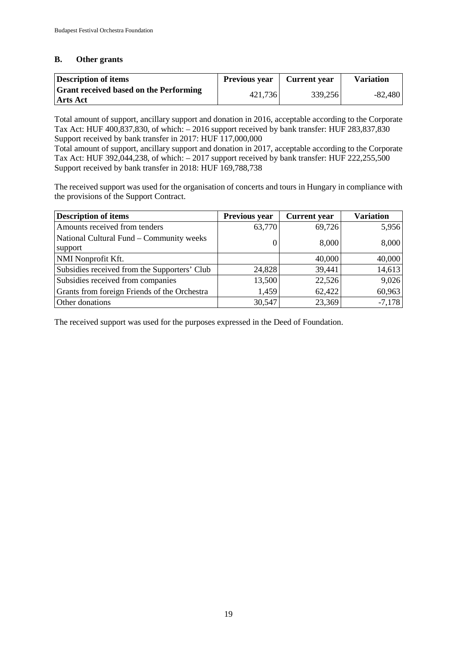#### **B. Other grants**

| Description of items                                              | <b>Previous year</b> | <b>Current</b> year | <b>Variation</b> |
|-------------------------------------------------------------------|----------------------|---------------------|------------------|
| <b>Strant received based on the Performing</b><br><b>Arts Act</b> | 421,736              | 339,256             | $-82,480$        |

Total amount of support, ancillary support and donation in 2016, acceptable according to the Corporate Tax Act: HUF 400,837,830, of which: – 2016 support received by bank transfer: HUF 283,837,830 Support received by bank transfer in 2017: HUF 117,000,000

Total amount of support, ancillary support and donation in 2017, acceptable according to the Corporate Tax Act: HUF 392,044,238, of which: – 2017 support received by bank transfer: HUF 222,255,500 Support received by bank transfer in 2018: HUF 169,788,738

The received support was used for the organisation of concerts and tours in Hungary in compliance with the provisions of the Support Contract.

| <b>Description of items</b>                         | <b>Previous year</b> | <b>Current</b> year | <b>Variation</b> |
|-----------------------------------------------------|----------------------|---------------------|------------------|
| Amounts received from tenders                       | 63,770               | 69,726              | 5,956            |
| National Cultural Fund – Community weeks<br>support |                      | 8,000               | 8,000            |
| NMI Nonprofit Kft.                                  |                      | 40,000              | 40,000           |
| Subsidies received from the Supporters' Club        | 24,828               | 39,441              | 14,613           |
| Subsidies received from companies                   | 13,500               | 22,526              | 9,026            |
| Grants from foreign Friends of the Orchestra        | 1,459                | 62,422              | 60,963           |
| Other donations                                     | 30,547               | 23,369              | $-7,178$         |

The received support was used for the purposes expressed in the Deed of Foundation.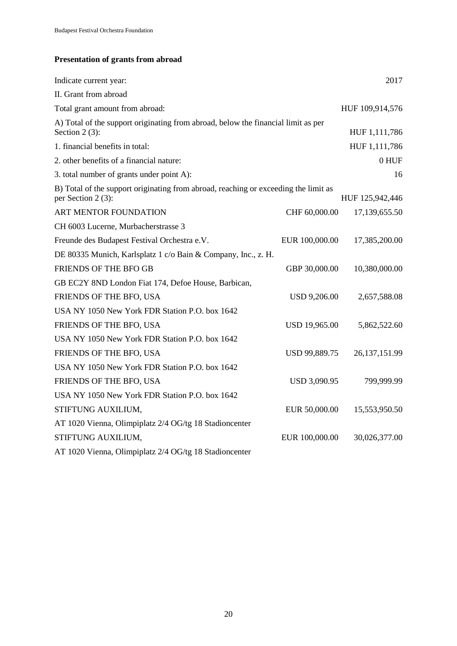# **Presentation of grants from abroad**

| Indicate current year:                                                                                    |                      | 2017            |
|-----------------------------------------------------------------------------------------------------------|----------------------|-----------------|
| II. Grant from abroad                                                                                     |                      |                 |
| Total grant amount from abroad:                                                                           |                      | HUF 109,914,576 |
| A) Total of the support originating from abroad, below the financial limit as per<br>Section $2(3)$ :     |                      | HUF 1,111,786   |
| 1. financial benefits in total:                                                                           |                      | HUF 1,111,786   |
| 2. other benefits of a financial nature:                                                                  |                      | 0 HUF           |
| 3. total number of grants under point A):                                                                 |                      | 16              |
| B) Total of the support originating from abroad, reaching or exceeding the limit as<br>per Section 2 (3): |                      | HUF 125,942,446 |
| ART MENTOR FOUNDATION                                                                                     | CHF 60,000.00        | 17,139,655.50   |
| CH 6003 Lucerne, Murbacherstrasse 3                                                                       |                      |                 |
| Freunde des Budapest Festival Orchestra e.V.                                                              | EUR 100,000.00       | 17,385,200.00   |
| DE 80335 Munich, Karlsplatz 1 c/o Bain & Company, Inc., z. H.                                             |                      |                 |
| FRIENDS OF THE BFO GB                                                                                     | GBP 30,000.00        | 10,380,000.00   |
| GB EC2Y 8ND London Fiat 174, Defoe House, Barbican,                                                       |                      |                 |
| FRIENDS OF THE BFO, USA                                                                                   | <b>USD 9,206.00</b>  | 2,657,588.08    |
| USA NY 1050 New York FDR Station P.O. box 1642                                                            |                      |                 |
| FRIENDS OF THE BFO, USA                                                                                   | <b>USD 19,965.00</b> | 5,862,522.60    |
| USA NY 1050 New York FDR Station P.O. box 1642                                                            |                      |                 |
| FRIENDS OF THE BFO, USA                                                                                   | USD 99,889.75        | 26, 137, 151.99 |
| USA NY 1050 New York FDR Station P.O. box 1642                                                            |                      |                 |
| FRIENDS OF THE BFO, USA                                                                                   | USD 3,090.95         | 799,999.99      |
| USA NY 1050 New York FDR Station P.O. box 1642                                                            |                      |                 |
| STIFTUNG AUXILIUM,                                                                                        | EUR 50,000.00        | 15,553,950.50   |
| AT 1020 Vienna, Olimpiplatz 2/4 OG/tg 18 Stadioncenter                                                    |                      |                 |
| STIFTUNG AUXILIUM,                                                                                        | EUR 100,000.00       | 30,026,377.00   |
| AT 1020 Vienna, Olimpiplatz 2/4 OG/tg 18 Stadioncenter                                                    |                      |                 |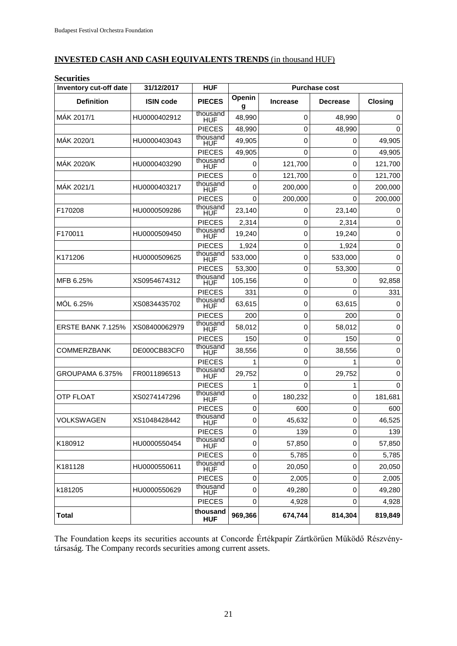#### **INVESTED CASH AND CASH EQUIVALENTS TRENDS** (in thousand HUF)

| <b>Securities</b>        |                  |                        |                      |                 |                 |             |
|--------------------------|------------------|------------------------|----------------------|-----------------|-----------------|-------------|
| Inventory cut-off date   | 31/12/2017       | <b>HUF</b>             | <b>Purchase cost</b> |                 |                 |             |
| <b>Definition</b>        | <b>ISIN code</b> | <b>PIECES</b>          | Openin<br>g          | <b>Increase</b> | <b>Decrease</b> | Closing     |
| MÁK 2017/1               | HU0000402912     | thousand<br><b>HUF</b> | 48,990               | 0               | 48,990          | $\mathbf 0$ |
|                          |                  | <b>PIECES</b>          | 48,990               | 0               | 48.990          | 0           |
| MÁK 2020/1               | HU0000403043     | thousand<br>HUF        | 49,905               | 0               | 0               | 49,905      |
|                          |                  | <b>PIECES</b>          | 49,905               | $\mathbf 0$     | 0               | 49,905      |
| MÁK 2020/K               | HU0000403290     | thousand<br>HUF        | 0                    | 121,700         | $\mathbf 0$     | 121,700     |
|                          |                  | <b>PIECES</b>          | 0                    | 121,700         | $\mathbf 0$     | 121,700     |
| MAK 2021/1               | HU0000403217     | thousand<br>HUF        | 0                    | 200,000         | $\mathbf 0$     | 200,000     |
|                          |                  | <b>PIECES</b>          | 0                    | 200,000         | 0               | 200,000     |
| F170208                  | HU0000509286     | thousand<br>HUF        | 23,140               | 0               | 23,140          | 0           |
|                          |                  | <b>PIECES</b>          | 2,314                | 0               | 2,314           | $\mathbf 0$ |
| F170011                  | HU0000509450     | thousand<br><b>HUF</b> | 19,240               | 0               | 19,240          | 0           |
|                          |                  | <b>PIECES</b>          | 1,924                | 0               | 1,924           | $\mathbf 0$ |
| K171206                  | HU0000509625     | thousand<br>HUF        | 533,000              | 0               | 533,000         | 0           |
|                          |                  | <b>PIECES</b>          | 53,300               | 0               | 53,300          | 0           |
| MFB 6.25%                | XS0954674312     | thousand<br>HUF        | 105,156              | 0               | 0               | 92,858      |
|                          |                  | <b>PIECES</b>          | 331                  | 0               | $\Omega$        | 331         |
| MÓL 6.25%                | XS0834435702     | thousand<br><b>HUF</b> | 63,615               | 0               | 63,615          | 0           |
|                          |                  | <b>PIECES</b>          | 200                  | 0               | 200             | $\mathbf 0$ |
| <b>ERSTE BANK 7.125%</b> | XS08400062979    | thousand<br><b>HUF</b> | 58,012               | $\mathbf 0$     | 58,012          | $\mathbf 0$ |
|                          |                  | <b>PIECES</b>          | 150                  | $\mathbf 0$     | 150             | $\mathbf 0$ |
| <b>COMMERZBANK</b>       | DE000CB83CF0     | thousand<br><b>HUF</b> | 38,556               | 0               | 38,556          | $\mathbf 0$ |
|                          |                  | <b>PIECES</b>          |                      | 0               | 1               | $\mathbf 0$ |
| GROUPAMA 6.375%          | FR0011896513     | thousand<br><b>HUF</b> | 29,752               | 0               | 29,752          | 0           |
|                          |                  | <b>PIECES</b>          | 1                    | $\mathbf 0$     | 1               | $\Omega$    |
| <b>OTP FLOAT</b>         | XS0274147296     | thousand<br><b>HUF</b> | 0                    | 180,232         | 0               | 181,681     |
|                          |                  | <b>PIECES</b>          | 0                    | 600             | 0               | 600         |
| <b>VOLKSWAGEN</b>        | XS1048428442     | thousand<br>HUF        | 0                    | 45,632          | 0               | 46,525      |
|                          |                  | <b>PIECES</b>          | 0                    | 139             | 0               | 139         |
| K180912                  | HU0000550454     | thousand<br>HUF        | 0                    | 57,850          | $\mathbf 0$     | 57,850      |
|                          |                  | <b>PIECES</b>          | 0                    | 5,785           | 0               | 5,785       |
| K181128                  | HU0000550611     | thousand<br>HUF        | 0                    | 20,050          | $\mathbf 0$     | 20,050      |
|                          |                  | <b>PIECES</b>          | 0                    | 2,005           | 0               | 2,005       |
| k181205                  | HU0000550629     | thousand<br>HUF        | 0                    | 49,280          | $\mathbf 0$     | 49,280      |
|                          |                  | <b>PIECES</b>          | 0                    | 4,928           | $\mathbf 0$     | 4,928       |
| <b>Total</b>             |                  | thousand<br><b>HUF</b> | 969,366              | 674,744         | 814,304         | 819,849     |

The Foundation keeps its securities accounts at Concorde Értékpapír Zártkörűen Működő Részvénytársaság. The Company records securities among current assets.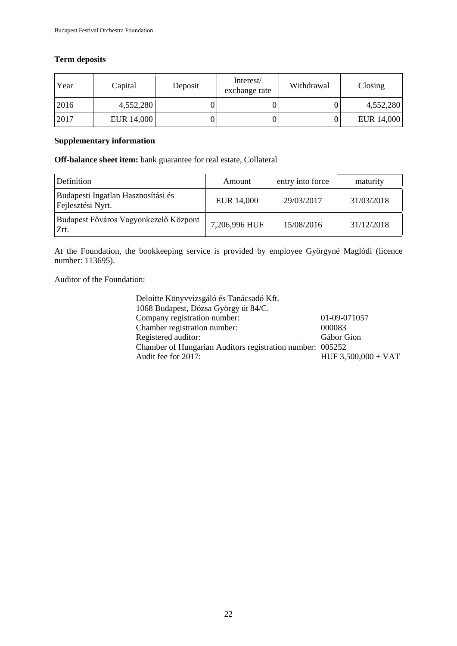#### **Term deposits**

| Year | Capital    | Deposit | Interest/<br>exchange rate | Withdrawal | Closing    |
|------|------------|---------|----------------------------|------------|------------|
| 2016 | 4,552,280  |         |                            |            | 4,552,280  |
| 2017 | EUR 14,000 |         |                            |            | EUR 14,000 |

#### **Supplementary information**

**Off-balance sheet item:** bank guarantee for real estate, Collateral

| Definition                                              | Amount        | entry into force | maturity   |
|---------------------------------------------------------|---------------|------------------|------------|
| Budapesti Ingatlan Hasznosítási és<br>Fejlesztési Nyrt. | EUR 14,000    | 29/03/2017       | 31/03/2018 |
| Budapest Főváros Vagyonkezelő Központ<br>Zrt.           | 7,206,996 HUF | 15/08/2016       | 31/12/2018 |

At the Foundation, the bookkeeping service is provided by employee Györgyné Maglódi (licence number: 113695).

Auditor of the Foundation:

| 01-09-071057                                              |
|-----------------------------------------------------------|
| 000083                                                    |
| Gábor Gion                                                |
| Chamber of Hungarian Auditors registration number: 005252 |
| $HUF 3,500,000 + VAT$                                     |
|                                                           |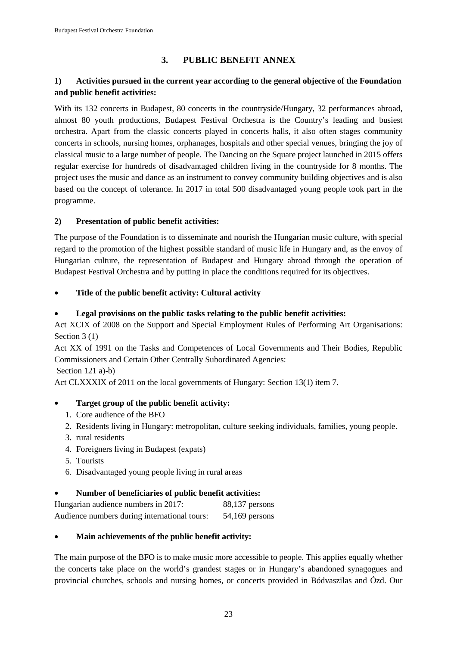# **3. PUBLIC BENEFIT ANNEX**

### **1) Activities pursued in the current year according to the general objective of the Foundation and public benefit activities:**

With its 132 concerts in Budapest, 80 concerts in the countryside/Hungary, 32 performances abroad, almost 80 youth productions, Budapest Festival Orchestra is the Country's leading and busiest orchestra. Apart from the classic concerts played in concerts halls, it also often stages community concerts in schools, nursing homes, orphanages, hospitals and other special venues, bringing the joy of classical music to a large number of people. The Dancing on the Square project launched in 2015 offers regular exercise for hundreds of disadvantaged children living in the countryside for 8 months. The project uses the music and dance as an instrument to convey community building objectives and is also based on the concept of tolerance. In 2017 in total 500 disadvantaged young people took part in the programme.

#### **2) Presentation of public benefit activities:**

The purpose of the Foundation is to disseminate and nourish the Hungarian music culture, with special regard to the promotion of the highest possible standard of music life in Hungary and, as the envoy of Hungarian culture, the representation of Budapest and Hungary abroad through the operation of Budapest Festival Orchestra and by putting in place the conditions required for its objectives.

#### • **Title of the public benefit activity: Cultural activity**

#### • **Legal provisions on the public tasks relating to the public benefit activities:**

Act XCIX of 2008 on the Support and Special Employment Rules of Performing Art Organisations: Section 3 (1)

Act XX of 1991 on the Tasks and Competences of Local Governments and Their Bodies, Republic Commissioners and Certain Other Centrally Subordinated Agencies:

Section 121 a)-b)

Act CLXXXIX of 2011 on the local governments of Hungary: Section 13(1) item 7.

#### • **Target group of the public benefit activity:**

- 1. Core audience of the BFO
- 2. Residents living in Hungary: metropolitan, culture seeking individuals, families, young people.
- 3. rural residents
- 4. Foreigners living in Budapest (expats)
- 5. Tourists
- 6. Disadvantaged young people living in rural areas

#### • **Number of beneficiaries of public benefit activities:**

| Hungarian audience numbers in 2017:          | $88,137$ persons |
|----------------------------------------------|------------------|
| Audience numbers during international tours: | $54,169$ persons |

#### • **Main achievements of the public benefit activity:**

The main purpose of the BFO is to make music more accessible to people. This applies equally whether the concerts take place on the world's grandest stages or in Hungary's abandoned synagogues and provincial churches, schools and nursing homes, or concerts provided in Bódvaszilas and Ózd. Our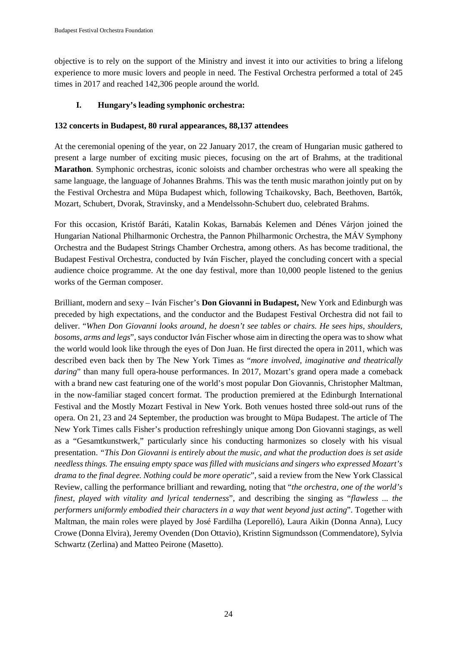objective is to rely on the support of the Ministry and invest it into our activities to bring a lifelong experience to more music lovers and people in need. The Festival Orchestra performed a total of 245 times in 2017 and reached 142,306 people around the world.

### **I. Hungary's leading symphonic orchestra:**

#### **132 concerts in Budapest, 80 rural appearances, 88,137 attendees**

At the ceremonial opening of the year, on 22 January 2017, the cream of Hungarian music gathered to present a large number of exciting music pieces, focusing on the art of Brahms, at the traditional **Marathon**. Symphonic orchestras, iconic soloists and chamber orchestras who were all speaking the same language, the language of Johannes Brahms. This was the tenth music marathon jointly put on by the Festival Orchestra and Müpa Budapest which, following Tchaikovsky, Bach, Beethoven, Bartók, Mozart, Schubert, Dvorak, Stravinsky, and a Mendelssohn-Schubert duo, celebrated Brahms.

For this occasion, Kristóf Baráti, Katalin Kokas, Barnabás Kelemen and Dénes Várjon joined the Hungarian National Philharmonic Orchestra, the Pannon Philharmonic Orchestra, the MÁV Symphony Orchestra and the Budapest Strings Chamber Orchestra, among others. As has become traditional, the Budapest Festival Orchestra, conducted by Iván Fischer, played the concluding concert with a special audience choice programme. At the one day festival, more than 10,000 people listened to the genius works of the German composer.

Brilliant, modern and sexy – Iván Fischer's **Don Giovanni in Budapest,** New York and Edinburgh was preceded by high expectations, and the conductor and the Budapest Festival Orchestra did not fail to deliver. "*When Don Giovanni looks around, he doesn't see tables or chairs. He sees hips, shoulders, bosoms, arms and legs*", says conductor Iván Fischer whose aim in directing the opera was to show what the world would look like through the eyes of Don Juan. He first directed the opera in 2011, which was described even back then by The New York Times as "*more involved, imaginative and theatrically daring*" than many full opera-house performances. In 2017, Mozart's grand opera made a comeback with a brand new cast featuring one of the world's most popular Don Giovannis, Christopher Maltman, in the now-familiar staged concert format. The production premiered at the Edinburgh International Festival and the Mostly Mozart Festival in New York. Both venues hosted three sold-out runs of the opera. On 21, 23 and 24 September, the production was brought to Müpa Budapest. The article of The New York Times calls Fisher's production refreshingly unique among Don Giovanni stagings, as well as a "Gesamtkunstwerk," particularly since his conducting harmonizes so closely with his visual presentation. *"This Don Giovanni is entirely about the music, and what the production does is set aside needless things. The ensuing empty space was filled with musicians and singers who expressed Mozart's drama to the final degree. Nothing could be more operatic*", said a review from the New York Classical Review, calling the performance brilliant and rewarding, noting that "*the orchestra, one of the world's finest, played with vitality and lyrical tenderness*", and describing the singing as "*flawless ... the performers uniformly embodied their characters in a way that went beyond just acting*". Together with Maltman, the main roles were played by José Fardilha (Leporelló), Laura Aikin (Donna Anna), Lucy Crowe (Donna Elvira), Jeremy Ovenden (Don Ottavio), Kristinn Sigmundsson (Commendatore), Sylvia Schwartz (Zerlina) and Matteo Peirone (Masetto).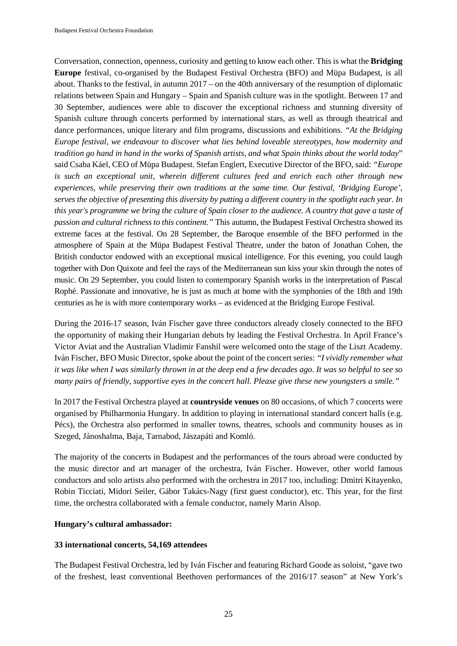Conversation, connection, openness, curiosity and getting to know each other. This is what the **Bridging Europe** festival, co-organised by the Budapest Festival Orchestra (BFO) and Müpa Budapest, is all about. Thanks to the festival, in autumn 2017 – on the 40th anniversary of the resumption of diplomatic relations between Spain and Hungary – Spain and Spanish culture was in the spotlight. Between 17 and 30 September, audiences were able to discover the exceptional richness and stunning diversity of Spanish culture through concerts performed by international stars, as well as through theatrical and dance performances, unique literary and film programs, discussions and exhibitions. *"At the Bridging Europe festival, we endeavour to discover what lies behind loveable stereotypes, how modernity and tradition go hand in hand in the works of Spanish artists, and what Spain thinks about the world today*" said Csaba Káel, CEO of Müpa Budapest. Stefan Englert, Executive Director of the BFO, said: *"Europe is such an exceptional unit, wherein different cultures feed and enrich each other through new experiences, while preserving their own traditions at the same time. Our festival, 'Bridging Europe', serves the objective of presenting this diversity by putting a different country in the spotlight each year. In this year's programme we bring the culture of Spain closer to the audience. A country that gave a taste of passion and cultural richness to this continent."* This autumn, the Budapest Festival Orchestra showed its extreme faces at the festival. On 28 September, the Baroque ensemble of the BFO performed in the atmosphere of Spain at the Müpa Budapest Festival Theatre, under the baton of Jonathan Cohen, the British conductor endowed with an exceptional musical intelligence. For this evening, you could laugh together with Don Quixote and feel the rays of the Mediterranean sun kiss your skin through the notes of music. On 29 September, you could listen to contemporary Spanish works in the interpretation of Pascal Rophé. Passionate and innovative, he is just as much at home with the symphonies of the 18th and 19th centuries as he is with more contemporary works – as evidenced at the Bridging Europe Festival.

During the 2016-17 season, Iván Fischer gave three conductors already closely connected to the BFO the opportunity of making their Hungarian debuts by leading the Festival Orchestra. In April France's Victor Aviat and the Australian Vladimir Fanshil were welcomed onto the stage of the Liszt Academy. Iván Fischer, BFO Music Director, spoke about the point of the concert series: *"I vividly remember what it was like when I was similarly thrown in at the deep end a few decades ago. It was so helpful to see so many pairs of friendly, supportive eyes in the concert hall. Please give these new youngsters a smile."*

In 2017 the Festival Orchestra played at **countryside venues** on 80 occasions, of which 7 concerts were organised by Philharmonia Hungary. In addition to playing in international standard concert halls (e.g. Pécs), the Orchestra also performed in smaller towns, theatres, schools and community houses as in Szeged, Jánoshalma, Baja, Tarnabod, Jászapáti and Komló.

The majority of the concerts in Budapest and the performances of the tours abroad were conducted by the music director and art manager of the orchestra, Iván Fischer. However, other world famous conductors and solo artists also performed with the orchestra in 2017 too, including: Dmitri Kitayenko, Robin Ticciati, Midori Seiler, Gábor Takács-Nagy (first guest conductor), etc. This year, for the first time, the orchestra collaborated with a female conductor, namely Marin Alsop.

#### **Hungary's cultural ambassador:**

#### **33 international concerts, 54,169 attendees**

The Budapest Festival Orchestra, led by Iván Fischer and featuring Richard Goode as soloist, "gave two of the freshest, least conventional Beethoven performances of the 2016/17 season" at New York's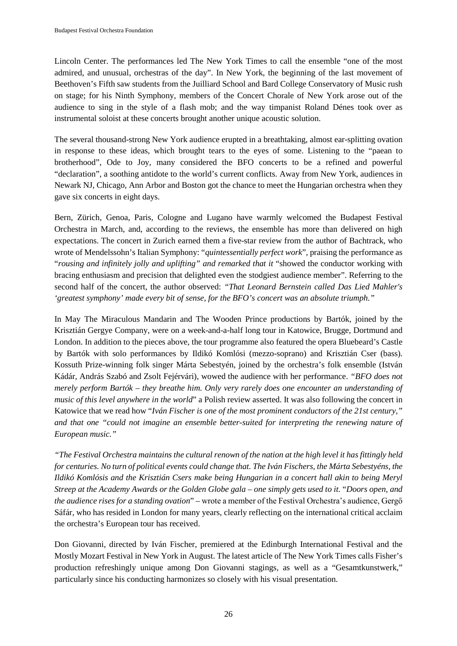Lincoln Center. The performances led The New York Times to call the ensemble "one of the most admired, and unusual, orchestras of the day". In New York, the beginning of the last movement of Beethoven's Fifth saw students from the Juilliard School and Bard College Conservatory of Music rush on stage; for his Ninth Symphony, members of the Concert Chorale of New York arose out of the audience to sing in the style of a flash mob; and the way timpanist Roland Dénes took over as instrumental soloist at these concerts brought another unique acoustic solution.

The several thousand-strong New York audience erupted in a breathtaking, almost ear-splitting ovation in response to these ideas, which brought tears to the eyes of some. Listening to the "paean to brotherhood", Ode to Joy, many considered the BFO concerts to be a refined and powerful "declaration", a soothing antidote to the world's current conflicts. Away from New York, audiences in Newark NJ, Chicago, Ann Arbor and Boston got the chance to meet the Hungarian orchestra when they gave six concerts in eight days.

Bern, Zürich, Genoa, Paris, Cologne and Lugano have warmly welcomed the Budapest Festival Orchestra in March, and, according to the reviews, the ensemble has more than delivered on high expectations. The concert in Zurich earned them a five-star review from the author of Bachtrack, who wrote of Mendelssohn's Italian Symphony: "*quintessentially perfect work*", praising the performance as "*rousing and infinitely jolly and uplifting" and remarked that it* "showed the conductor working with bracing enthusiasm and precision that delighted even the stodgiest audience member". Referring to the second half of the concert, the author observed: *"That Leonard Bernstein called Das Lied Mahler's 'greatest symphony' made every bit of sense, for the BFO's concert was an absolute triumph."*

In May The Miraculous Mandarin and The Wooden Prince productions by Bartók, joined by the Krisztián Gergye Company, were on a week-and-a-half long tour in Katowice, Brugge, Dortmund and London. In addition to the pieces above, the tour programme also featured the opera Bluebeard's Castle by Bartók with solo performances by Ildikó Komlósi (mezzo-soprano) and Krisztián Cser (bass). Kossuth Prize-winning folk singer Márta Sebestyén, joined by the orchestra's folk ensemble (István Kádár, András Szabó and Zsolt Fejérvári), wowed the audience with her performance. *"BFO does not merely perform Bartók – they breathe him. Only very rarely does one encounter an understanding of music of this level anywhere in the world*" a Polish review asserted. It was also following the concert in Katowice that we read how "*Iván Fischer is one of the most prominent conductors of the 21st century," and that one "could not imagine an ensemble better-suited for interpreting the renewing nature of European music."*

*"The Festival Orchestra maintains the cultural renown of the nation at the high level it has fittingly held for centuries. No turn of political events could change that. The Iván Fischers, the Márta Sebestyéns, the Ildikó Komlósis and the Krisztián Csers make being Hungarian in a concert hall akin to being Meryl Streep at the Academy Awards or the Golden Globe gala – one simply gets used to it.* "*Doors open, and the audience rises for a standing ovation*" – wrote a member of the Festival Orchestra's audience, Gergő Sáfár, who has resided in London for many years, clearly reflecting on the international critical acclaim the orchestra's European tour has received.

Don Giovanni, directed by Iván Fischer, premiered at the Edinburgh International Festival and the Mostly Mozart Festival in New York in August. The latest article of The New York Times calls Fisher's production refreshingly unique among Don Giovanni stagings, as well as a "Gesamtkunstwerk," particularly since his conducting harmonizes so closely with his visual presentation.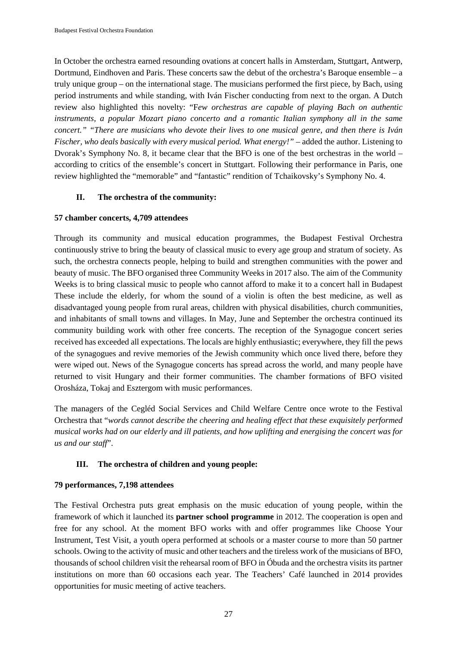In October the orchestra earned resounding ovations at concert halls in Amsterdam, Stuttgart, Antwerp, Dortmund, Eindhoven and Paris. These concerts saw the debut of the orchestra's Baroque ensemble – a truly unique group – on the international stage. The musicians performed the first piece, by Bach, using period instruments and while standing, with Iván Fischer conducting from next to the organ. A Dutch review also highlighted this novelty: "F*ew orchestras are capable of playing Bach on authentic instruments, a popular Mozart piano concerto and a romantic Italian symphony all in the same concert." "There are musicians who devote their lives to one musical genre, and then there is Iván Fischer, who deals basically with every musical period. What energy!"* – added the author. Listening to Dvorak's Symphony No. 8, it became clear that the BFO is one of the best orchestras in the world – according to critics of the ensemble's concert in Stuttgart. Following their performance in Paris, one review highlighted the "memorable" and "fantastic" rendition of Tchaikovsky's Symphony No. 4.

#### **II. The orchestra of the community:**

#### **57 chamber concerts, 4,709 attendees**

Through its community and musical education programmes, the Budapest Festival Orchestra continuously strive to bring the beauty of classical music to every age group and stratum of society. As such, the orchestra connects people, helping to build and strengthen communities with the power and beauty of music. The BFO organised three Community Weeks in 2017 also. The aim of the Community Weeks is to bring classical music to people who cannot afford to make it to a concert hall in Budapest These include the elderly, for whom the sound of a violin is often the best medicine, as well as disadvantaged young people from rural areas, children with physical disabilities, church communities, and inhabitants of small towns and villages. In May, June and September the orchestra continued its community building work with other free concerts. The reception of the Synagogue concert series received has exceeded all expectations. The locals are highly enthusiastic; everywhere, they fill the pews of the synagogues and revive memories of the Jewish community which once lived there, before they were wiped out. News of the Synagogue concerts has spread across the world, and many people have returned to visit Hungary and their former communities. The chamber formations of BFO visited Orosháza, Tokaj and Esztergom with music performances.

The managers of the Cegléd Social Services and Child Welfare Centre once wrote to the Festival Orchestra that "*words cannot describe the cheering and healing effect that these exquisitely performed musical works had on our elderly and ill patients, and how uplifting and energising the concert was for us and our staff*".

#### **III. The orchestra of children and young people:**

#### **79 performances, 7,198 attendees**

The Festival Orchestra puts great emphasis on the music education of young people, within the framework of which it launched its **partner school programme** in 2012. The cooperation is open and free for any school. At the moment BFO works with and offer programmes like Choose Your Instrument, Test Visit, a youth opera performed at schools or a master course to more than 50 partner schools. Owing to the activity of music and other teachers and the tireless work of the musicians of BFO, thousands of school children visit the rehearsal room of BFO in Óbuda and the orchestra visits its partner institutions on more than 60 occasions each year. The Teachers' Café launched in 2014 provides opportunities for music meeting of active teachers.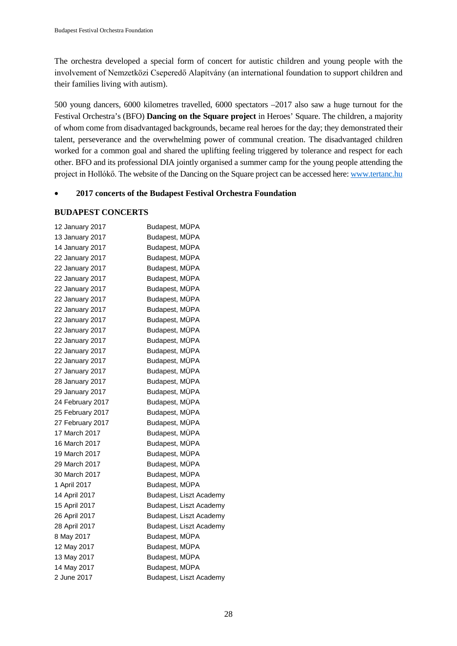The orchestra developed a special form of concert for autistic children and young people with the involvement of Nemzetközi Cseperedő Alapítvány (an international foundation to support children and their families living with autism).

500 young dancers, 6000 kilometres travelled, 6000 spectators –2017 also saw a huge turnout for the Festival Orchestra's (BFO) **Dancing on the Square project** in Heroes' Square. The children, a majority of whom come from disadvantaged backgrounds, became real heroes for the day; they demonstrated their talent, perseverance and the overwhelming power of communal creation. The disadvantaged children worked for a common goal and shared the uplifting feeling triggered by tolerance and respect for each other. BFO and its professional DIA jointly organised a summer camp for the young people attending the project in Hollókő. The website of the Dancing on the Square project can be accessed here: [www.tertanc.hu](http://www.tertanc.hu/)

#### • **2017 concerts of the Budapest Festival Orchestra Foundation**

#### **BUDAPEST CONCERTS**

| 12 January 2017  | Budapest, MÜPA          |
|------------------|-------------------------|
| 13 January 2017  | Budapest, MÜPA          |
| 14 January 2017  | Budapest, MÜPA          |
| 22 January 2017  | Budapest, MÜPA          |
| 22 January 2017  | Budapest, MÜPA          |
| 22 January 2017  | Budapest, MÜPA          |
| 22 January 2017  | Budapest, MÜPA          |
| 22 January 2017  | Budapest, MÜPA          |
| 22 January 2017  | Budapest, MÜPA          |
| 22 January 2017  | Budapest, MÜPA          |
| 22 January 2017  | Budapest, MÜPA          |
| 22 January 2017  | Budapest, MÜPA          |
| 22 January 2017  | Budapest, MÜPA          |
| 22 January 2017  | Budapest, MÜPA          |
| 27 January 2017  | Budapest, MÜPA          |
| 28 January 2017  | Budapest, MÜPA          |
| 29 January 2017  | Budapest, MÜPA          |
| 24 February 2017 | Budapest, MÜPA          |
| 25 February 2017 | Budapest, MÜPA          |
| 27 February 2017 | Budapest, MÜPA          |
| 17 March 2017    | Budapest, MÜPA          |
| 16 March 2017    | Budapest, MÜPA          |
| 19 March 2017    | Budapest, MÜPA          |
| 29 March 2017    | Budapest, MÜPA          |
| 30 March 2017    | Budapest, MÜPA          |
| 1 April 2017     | Budapest, MÜPA          |
| 14 April 2017    | Budapest, Liszt Academy |
| 15 April 2017    | Budapest, Liszt Academy |
| 26 April 2017    | Budapest, Liszt Academy |
| 28 April 2017    | Budapest, Liszt Academy |
| 8 May 2017       | Budapest, MÜPA          |
| 12 May 2017      | Budapest, MÜPA          |
| 13 May 2017      | Budapest, MÜPA          |
| 14 May 2017      | Budapest, MÜPA          |
| 2 June 2017      | Budapest, Liszt Academy |
|                  |                         |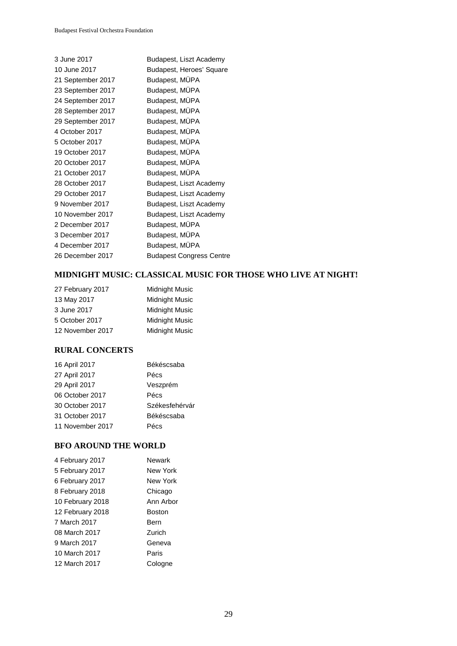| 3 June 2017       | Budapest, Liszt Academy         |
|-------------------|---------------------------------|
| 10 June 2017      | Budapest, Heroes' Square        |
| 21 September 2017 | Budapest, MUPA                  |
| 23 September 2017 | Budapest, MÜPA                  |
| 24 September 2017 | Budapest, MÜPA                  |
| 28 September 2017 | Budapest, MÜPA                  |
| 29 September 2017 | Budapest, MÜPA                  |
| 4 October 2017    | Budapest, MÜPA                  |
| 5 October 2017    | Budapest, MÜPA                  |
| 19 October 2017   | Budapest, MÜPA                  |
| 20 October 2017   | Budapest, MÜPA                  |
| 21 October 2017   | Budapest, MÜPA                  |
| 28 October 2017   | Budapest, Liszt Academy         |
| 29 October 2017   | Budapest, Liszt Academy         |
| 9 November 2017   | Budapest, Liszt Academy         |
| 10 November 2017  | Budapest, Liszt Academy         |
| 2 December 2017   | Budapest, MÜPA                  |
| 3 December 2017   | Budapest, MUPA                  |
| 4 December 2017   | Budapest, MÜPA                  |
| 26 December 2017  | <b>Budapest Congress Centre</b> |
|                   |                                 |

#### **MIDNIGHT MUSIC: CLASSICAL MUSIC FOR THOSE WHO LIVE AT NIGHT!**

| 27 February 2017 | Midnight Music        |
|------------------|-----------------------|
| 13 May 2017      | <b>Midnight Music</b> |
| 3 June 2017      | <b>Midnight Music</b> |
| 5 October 2017   | <b>Midnight Music</b> |
| 12 November 2017 | <b>Midnight Music</b> |
|                  |                       |

#### **RURAL CONCERTS**

| 16 April 2017    | Békéscsaba     |
|------------------|----------------|
| 27 April 2017    | Pécs           |
| 29 April 2017    | Veszprém       |
| 06 October 2017  | Pécs           |
| 30 October 2017  | Székesfehérvár |
| 31 October 2017  | Békéscsaba     |
| 11 November 2017 | Pécs           |

#### **BFO AROUND THE WORLD**

| Newark        |
|---------------|
| New York      |
| New York      |
| Chicago       |
| Ann Arbor     |
| <b>Boston</b> |
| Bern          |
| Zurich        |
| Geneva        |
| Paris         |
| Cologne       |
|               |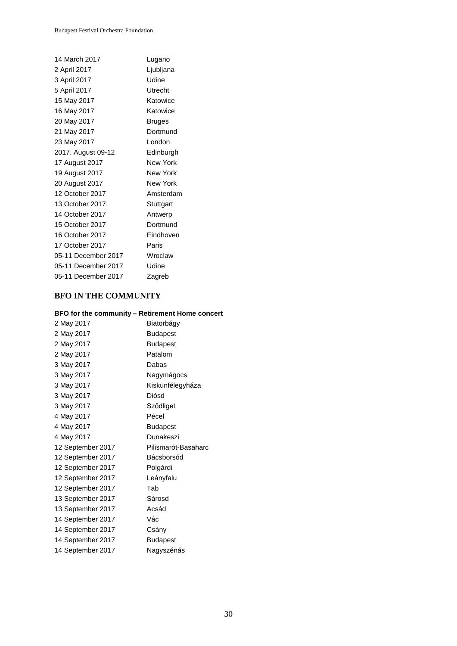| 14 March 2017       | Lugano        |
|---------------------|---------------|
| 2 April 2017        | Ljubljana     |
| 3 April 2017        | Udine         |
| 5 April 2017        | Utrecht       |
| 15 May 2017         | Katowice      |
| 16 May 2017         | Katowice      |
| 20 May 2017         | <b>Bruges</b> |
| 21 May 2017         | Dortmund      |
| 23 May 2017         | London        |
| 2017. August 09-12  | Edinburgh     |
| 17 August 2017      | New York      |
| 19 August 2017      | New York      |
| 20 August 2017      | New York      |
| 12 October 2017     | Amsterdam     |
| 13 October 2017     | Stuttgart     |
| 14 October 2017     | Antwerp       |
| 15 October 2017     | Dortmund      |
| 16 October 2017     | Eindhoven     |
| 17 October 2017     | Paris         |
| 05-11 December 2017 | Wroclaw       |
| 05-11 December 2017 | Udine         |
| 05-11 December 2017 | Zagreb        |
|                     |               |

#### **BFO IN THE COMMUNITY**

#### **BFO for the community – Retirement Home concert**

| 2 May 2017        | Biatorbágy          |
|-------------------|---------------------|
| 2 May 2017        | Budapest            |
| 2 May 2017        | <b>Budapest</b>     |
| 2 May 2017        | Patalom             |
| 3 May 2017        | Dabas               |
| 3 May 2017        | Nagymágocs          |
| 3 May 2017        | Kiskunfélegyháza    |
| 3 May 2017        | Diósd               |
| 3 May 2017        | Sződliget           |
| 4 May 2017        | Pécel               |
| 4 May 2017        | <b>Budapest</b>     |
| 4 May 2017        | Dunakeszi           |
| 12 September 2017 | Pilismarót-Basaharc |
| 12 September 2017 | Bácsborsód          |
| 12 September 2017 | Polgárdi            |
| 12 September 2017 | Leányfalu           |
| 12 September 2017 | Tab                 |
| 13 September 2017 | Sárosd              |
| 13 September 2017 | Acsád               |
| 14 September 2017 | Vác                 |
| 14 September 2017 | Csány               |
| 14 September 2017 | <b>Budapest</b>     |
| 14 September 2017 | Nagyszénás          |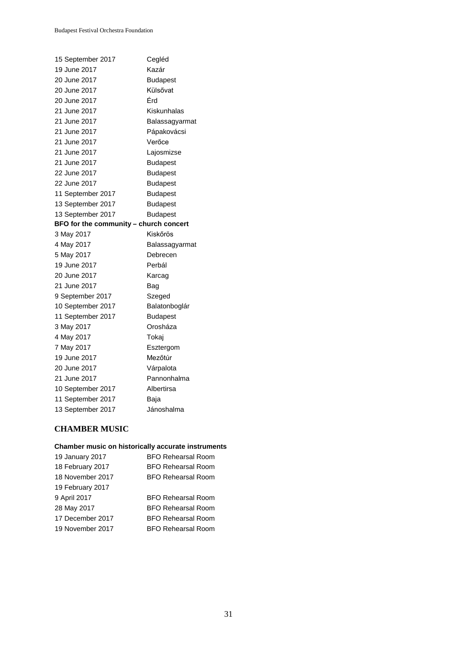| 15 September 2017                      | Cegléd          |
|----------------------------------------|-----------------|
| 19 June 2017                           | Kazár           |
| 20 June 2017                           | <b>Budapest</b> |
| 20 June 2017                           | Külsővat        |
| 20 June 2017                           | Érd             |
| 21 June 2017                           | Kiskunhalas     |
| 21 June 2017                           | Balassagyarmat  |
| 21 June 2017                           | Pápakovácsi     |
| 21 June 2017                           | Verőce          |
| 21 June 2017                           | Lajosmizse      |
| 21 June 2017                           | <b>Budapest</b> |
| 22 June 2017                           | <b>Budapest</b> |
| 22 June 2017                           | <b>Budapest</b> |
| 11 September 2017                      | <b>Budapest</b> |
| 13 September 2017                      | <b>Budapest</b> |
| 13 September 2017                      | <b>Budapest</b> |
| BFO for the community - church concert |                 |
| 3 May 2017                             | Kiskőrös        |
| 4 May 2017                             | Balassagyarmat  |
| 5 May 2017                             | Debrecen        |
| 19 June 2017                           | Perbál          |
| 20 June 2017                           | Karcag          |
| 21 June 2017                           | Bag             |
| 9 September 2017                       | Szeged          |
| 10 September 2017                      | Balatonboglár   |
| 11 September 2017                      | <b>Budapest</b> |
| 3 May 2017                             | Orosháza        |
| 4 May 2017                             | Tokaj           |
| 7 May 2017                             | Esztergom       |
| 19 June 2017                           | Mezőtúr         |
| 20 June 2017                           | Várpalota       |
| 21 June 2017                           | Pannonhalma     |
| 10 September 2017                      | Albertirsa      |
| 11 September 2017                      | Baja            |
| 13 September 2017                      | Jánoshalma      |

# **CHAMBER MUSIC**

#### **Chamber music on historically accurate instruments**

| 19 January 2017  | <b>BFO Rehearsal Room</b> |
|------------------|---------------------------|
| 18 February 2017 | <b>BFO Rehearsal Room</b> |
| 18 November 2017 | <b>BFO Rehearsal Room</b> |
| 19 February 2017 |                           |
| 9 April 2017     |                           |
|                  | <b>BFO Rehearsal Room</b> |
| 28 May 2017      | <b>BFO Rehearsal Room</b> |
| 17 December 2017 | <b>BFO Rehearsal Room</b> |
| 19 November 2017 | <b>BFO Rehearsal Room</b> |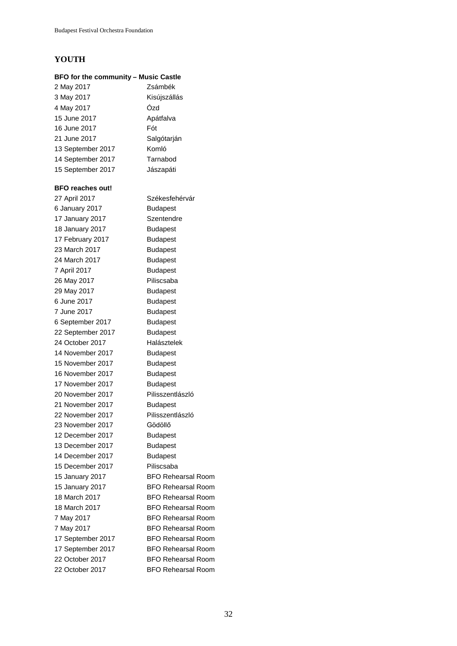# **YOUTH**

# **BFO for the community – Music Castle**

| 2 May 2017        | Zsámbék      |
|-------------------|--------------|
| 3 May 2017        | Kisújszállás |
| 4 May 2017        | Ózd          |
| 15 June 2017      | Apátfalva    |
| 16 June 2017      | Fót          |
| 21 June 2017      | Salgótarján  |
| 13 September 2017 | Komló        |
| 14 September 2017 | Tarnabod     |
| 15 September 2017 | Jászapáti    |

#### **BFO reaches out!**

| 27 April 2017     | Székesfehérvár            |
|-------------------|---------------------------|
| 6 January 2017    | <b>Budapest</b>           |
| 17 January 2017   | Szentendre                |
| 18 January 2017   | <b>Budapest</b>           |
| 17 February 2017  | <b>Budapest</b>           |
| 23 March 2017     | <b>Budapest</b>           |
| 24 March 2017     | <b>Budapest</b>           |
| 7 April 2017      | <b>Budapest</b>           |
| 26 May 2017       | Piliscsaba                |
| 29 May 2017       | <b>Budapest</b>           |
| 6 June 2017       | <b>Budapest</b>           |
| 7 June 2017       | <b>Budapest</b>           |
| 6 September 2017  | <b>Budapest</b>           |
| 22 September 2017 | <b>Budapest</b>           |
| 24 October 2017   | Halásztelek               |
| 14 November 2017  | <b>Budapest</b>           |
| 15 November 2017  | <b>Budapest</b>           |
| 16 November 2017  | <b>Budapest</b>           |
| 17 November 2017  | <b>Budapest</b>           |
| 20 November 2017  | Pilisszentlászló          |
| 21 November 2017  | <b>Budapest</b>           |
| 22 November 2017  | Pilisszentlászló          |
| 23 November 2017  | Gödöllő                   |
| 12 December 2017  | <b>Budapest</b>           |
| 13 December 2017  | <b>Budapest</b>           |
| 14 December 2017  | <b>Budapest</b>           |
| 15 December 2017  | Piliscsaba                |
| 15 January 2017   | <b>BFO Rehearsal Room</b> |
| 15 January 2017   | <b>BFO Rehearsal Room</b> |
| 18 March 2017     | <b>BFO Rehearsal Room</b> |
| 18 March 2017     | <b>BFO Rehearsal Room</b> |
| 7 May 2017        | <b>BFO Rehearsal Room</b> |
| 7 May 2017        | <b>BFO Rehearsal Room</b> |
| 17 September 2017 | <b>BFO Rehearsal Room</b> |
| 17 September 2017 | <b>BFO Rehearsal Room</b> |
| 22 October 2017   | <b>BFO Rehearsal Room</b> |
| 22 October 2017   | BFO Rehearsal Room        |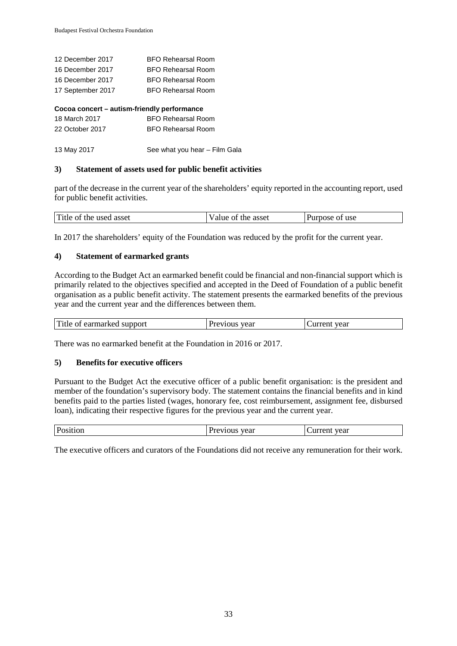| 12 December 2017  | <b>BFO Rehearsal Room</b> |
|-------------------|---------------------------|
| 16 December 2017  | <b>BFO Rehearsal Room</b> |
| 16 December 2017  | <b>BFO Rehearsal Room</b> |
| 17 September 2017 | <b>BFO Rehearsal Room</b> |
|                   |                           |

# **Cocoa concert – autism-friendly performance**

| 18 March 2017   | BFO Rehearsal Room        |
|-----------------|---------------------------|
| 22 October 2017 | <b>BFO Rehearsal Room</b> |
|                 |                           |

13 May 2017 See what you hear – Film Gala

#### **3) Statement of assets used for public benefit activities**

part of the decrease in the current year of the shareholders' equity reported in the accounting report, used for public benefit activities.

| ОI<br>aiue.<br>DOSG<br>'UI. | $\mathbf{r}$<br>Title<br>asset<br>used<br>ΟÌ<br>the | asset<br>the | use<br>ΩĪ |  |
|-----------------------------|-----------------------------------------------------|--------------|-----------|--|
|-----------------------------|-----------------------------------------------------|--------------|-----------|--|

In 2017 the shareholders' equity of the Foundation was reduced by the profit for the current year.

#### **4) Statement of earmarked grants**

According to the Budget Act an earmarked benefit could be financial and non-financial support which is primarily related to the objectives specified and accepted in the Deed of Foundation of a public benefit organisation as a public benefit activity. The statement presents the earmarked benefits of the previous year and the current year and the differences between them.

| Title of earmarked support | Previous year | Current vear |
|----------------------------|---------------|--------------|
|----------------------------|---------------|--------------|

There was no earmarked benefit at the Foundation in 2016 or 2017.

#### **5) Benefits for executive officers**

Pursuant to the Budget Act the executive officer of a public benefit organisation: is the president and member of the foundation's supervisory body. The statement contains the financial benefits and in kind benefits paid to the parties listed (wages, honorary fee, cost reimbursement, assignment fee, disbursed loan), indicating their respective figures for the previous year and the current year.

|  | $\mathbf{P}$<br>лиоп<br>- 08 | year<br>700 H. | year<br>21 I I<br> |
|--|------------------------------|----------------|--------------------|
|--|------------------------------|----------------|--------------------|

The executive officers and curators of the Foundations did not receive any remuneration for their work.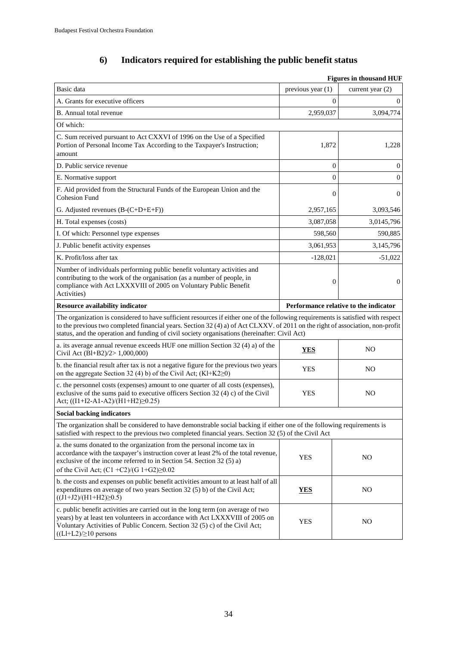# **6) Indicators required for establishing the public benefit status**

| <b>Figures in thousand HUF</b>                                                                                                                                                                                                                                                                                                                                       |                                       |                    |
|----------------------------------------------------------------------------------------------------------------------------------------------------------------------------------------------------------------------------------------------------------------------------------------------------------------------------------------------------------------------|---------------------------------------|--------------------|
| Basic data                                                                                                                                                                                                                                                                                                                                                           | previous year $(1)$                   | current year $(2)$ |
| A. Grants for executive officers                                                                                                                                                                                                                                                                                                                                     | $\theta$                              | $\theta$           |
| B. Annual total revenue                                                                                                                                                                                                                                                                                                                                              | 2,959,037                             | 3,094,774          |
| Of which:                                                                                                                                                                                                                                                                                                                                                            |                                       |                    |
| C. Sum received pursuant to Act CXXVI of 1996 on the Use of a Specified<br>Portion of Personal Income Tax According to the Taxpayer's Instruction;<br>amount                                                                                                                                                                                                         | 1,872                                 | 1,228              |
| D. Public service revenue                                                                                                                                                                                                                                                                                                                                            | $\boldsymbol{0}$                      | $\boldsymbol{0}$   |
| E. Normative support                                                                                                                                                                                                                                                                                                                                                 | $\overline{0}$                        | $\mathbf{0}$       |
| F. Aid provided from the Structural Funds of the European Union and the<br><b>Cohesion Fund</b>                                                                                                                                                                                                                                                                      | $\overline{0}$                        | $\mathbf{0}$       |
| G. Adjusted revenues (B-(C+D+E+F))                                                                                                                                                                                                                                                                                                                                   | 2,957,165                             | 3,093,546          |
| H. Total expenses (costs)                                                                                                                                                                                                                                                                                                                                            | 3,087,058                             | 3,0145,796         |
| I. Of which: Personnel type expenses                                                                                                                                                                                                                                                                                                                                 | 598,560                               | 590,885            |
| J. Public benefit activity expenses                                                                                                                                                                                                                                                                                                                                  | 3,061,953                             | 3,145,796          |
| K. Profit/loss after tax                                                                                                                                                                                                                                                                                                                                             | $-128,021$                            | $-51,022$          |
| Number of individuals performing public benefit voluntary activities and<br>contributing to the work of the organisation (as a number of people, in<br>compliance with Act LXXXVIII of 2005 on Voluntary Public Benefit<br>Activities)                                                                                                                               | $\boldsymbol{0}$                      | $\theta$           |
| <b>Resource availability indicator</b>                                                                                                                                                                                                                                                                                                                               | Performance relative to the indicator |                    |
| The organization is considered to have sufficient resources if either one of the following requirements is satisfied with respect<br>to the previous two completed financial years. Section 32 (4) a) of Act CLXXV. of 2011 on the right of association, non-profit<br>status, and the operation and funding of civil society organisations (hereinafter: Civil Act) |                                       |                    |
| a. its average annual revenue exceeds HUF one million Section 32 (4) a) of the<br>Civil Act (Bl+B2)/2> 1,000,000)                                                                                                                                                                                                                                                    | <b>YES</b>                            | N <sub>O</sub>     |
| b. the financial result after tax is not a negative figure for the previous two years<br>on the aggregate Section 32 (4) b) of the Civil Act; $(Kl+K2\geq 0)$                                                                                                                                                                                                        | <b>YES</b>                            | N <sub>O</sub>     |
| c. the personnel costs (expenses) amount to one quarter of all costs (expenses),<br>exclusive of the sums paid to executive officers Section 32 (4) c) of the Civil<br>Act; ((I1+I2-A1-A2)/(H1+H2)≥0.25)                                                                                                                                                             | <b>YES</b>                            | N <sub>O</sub>     |
| <b>Social backing indicators</b>                                                                                                                                                                                                                                                                                                                                     |                                       |                    |
| The organization shall be considered to have demonstrable social backing if either one of the following requirements is<br>satisfied with respect to the previous two completed financial years. Section 32 (5) of the Civil Act                                                                                                                                     |                                       |                    |
| a. the sums donated to the organization from the personal income tax in<br>accordance with the taxpayer's instruction cover at least 2% of the total revenue,<br>exclusive of the income referred to in Section 54. Section 32 (5) a)<br>of the Civil Act; $(C1 + C2)/(G1 + G2) \ge 0.02$                                                                            | <b>YES</b>                            | N <sub>O</sub>     |
| b. the costs and expenses on public benefit activities amount to at least half of all<br>expenditures on average of two years Section 32 (5) b) of the Civil Act;<br>$((J1+J2)/(H1+H2)\geq0.5)$                                                                                                                                                                      | <b>YES</b>                            | N <sub>O</sub>     |
| c. public benefit activities are carried out in the long term (on average of two<br>years) by at least ten volunteers in accordance with Act LXXXVIII of 2005 on<br>Voluntary Activities of Public Concern. Section 32 (5) c) of the Civil Act;<br>$((Ll+L2)\geq 10$ persons                                                                                         | <b>YES</b>                            | NO                 |